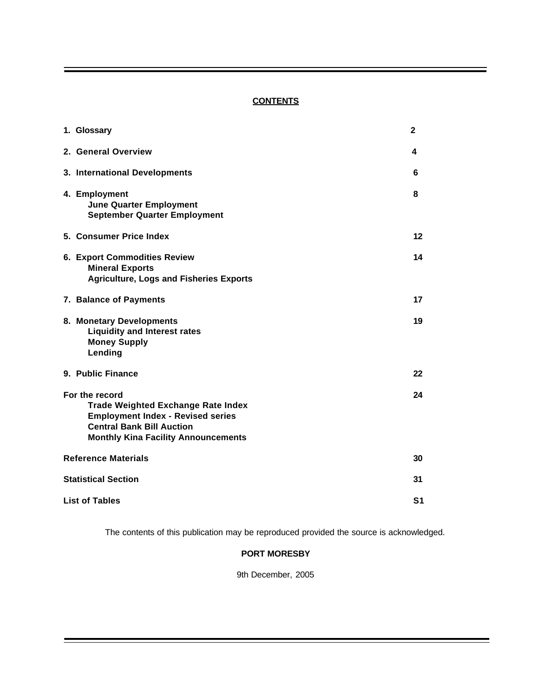# **CONTENTS**

| 1. Glossary                                                                                                                                                                               | $\mathbf{2}$   |
|-------------------------------------------------------------------------------------------------------------------------------------------------------------------------------------------|----------------|
| 2. General Overview                                                                                                                                                                       | 4              |
| 3. International Developments                                                                                                                                                             | 6              |
| 4. Employment<br><b>June Quarter Employment</b><br><b>September Quarter Employment</b>                                                                                                    | 8              |
| 5. Consumer Price Index                                                                                                                                                                   | 12             |
| <b>6. Export Commodities Review</b><br><b>Mineral Exports</b><br><b>Agriculture, Logs and Fisheries Exports</b>                                                                           | 14             |
| 7. Balance of Payments                                                                                                                                                                    | 17             |
| 8. Monetary Developments<br><b>Liquidity and Interest rates</b><br><b>Money Supply</b><br>Lending                                                                                         | 19             |
| 9. Public Finance                                                                                                                                                                         | 22             |
| For the record<br><b>Trade Weighted Exchange Rate Index</b><br><b>Employment Index - Revised series</b><br><b>Central Bank Bill Auction</b><br><b>Monthly Kina Facility Announcements</b> | 24             |
| <b>Reference Materials</b>                                                                                                                                                                | 30             |
| <b>Statistical Section</b>                                                                                                                                                                | 31             |
| <b>List of Tables</b>                                                                                                                                                                     | S <sub>1</sub> |

The contents of this publication may be reproduced provided the source is acknowledged.

# **PORT MORESBY**

9th December, 2005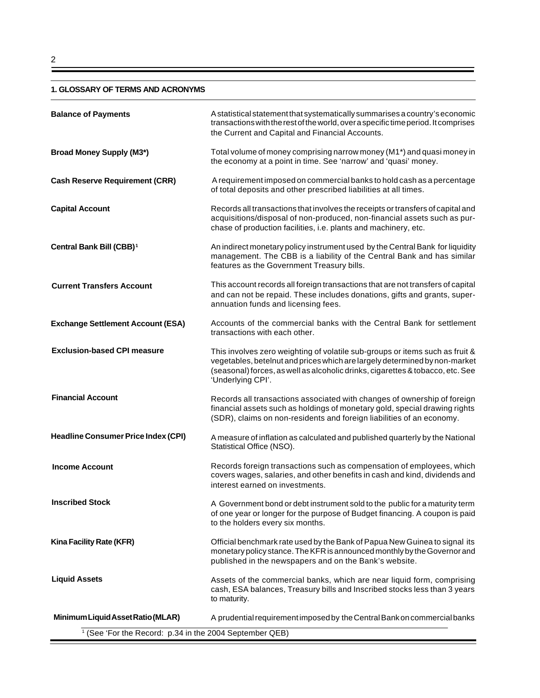#### **1. GLOSSARY OF TERMS AND ACRONYMS**

| <b>Balance of Payments</b>                                         | A statistical statement that systematically summarises a country's economic<br>transactions with the rest of the world, over a specific time period. It comprises<br>the Current and Capital and Financial Accounts.                                              |
|--------------------------------------------------------------------|-------------------------------------------------------------------------------------------------------------------------------------------------------------------------------------------------------------------------------------------------------------------|
| <b>Broad Money Supply (M3*)</b>                                    | Total volume of money comprising narrow money (M1*) and quasi money in<br>the economy at a point in time. See 'narrow' and 'quasi' money.                                                                                                                         |
| <b>Cash Reserve Requirement (CRR)</b>                              | A requirement imposed on commercial banks to hold cash as a percentage<br>of total deposits and other prescribed liabilities at all times.                                                                                                                        |
| <b>Capital Account</b>                                             | Records all transactions that involves the receipts or transfers of capital and<br>acquisitions/disposal of non-produced, non-financial assets such as pur-<br>chase of production facilities, i.e. plants and machinery, etc.                                    |
| Central Bank Bill (CBB) <sup>1</sup>                               | An indirect monetary policy instrument used by the Central Bank for liquidity<br>management. The CBB is a liability of the Central Bank and has similar<br>features as the Government Treasury bills.                                                             |
| <b>Current Transfers Account</b>                                   | This account records all foreign transactions that are not transfers of capital<br>and can not be repaid. These includes donations, gifts and grants, super-<br>annuation funds and licensing fees.                                                               |
| <b>Exchange Settlement Account (ESA)</b>                           | Accounts of the commercial banks with the Central Bank for settlement<br>transactions with each other.                                                                                                                                                            |
| <b>Exclusion-based CPI measure</b>                                 | This involves zero weighting of volatile sub-groups or items such as fruit &<br>vegetables, betelnut and prices which are largely determined by non-market<br>(seasonal) forces, as well as alcoholic drinks, cigarettes & tobacco, etc. See<br>'Underlying CPI'. |
| <b>Financial Account</b>                                           | Records all transactions associated with changes of ownership of foreign<br>financial assets such as holdings of monetary gold, special drawing rights<br>(SDR), claims on non-residents and foreign liabilities of an economy.                                   |
| <b>Headline Consumer Price Index (CPI)</b>                         | A measure of inflation as calculated and published quarterly by the National<br>Statistical Office (NSO).                                                                                                                                                         |
| <b>Income Account</b>                                              | Records foreign transactions such as compensation of employees, which<br>covers wages, salaries, and other benefits in cash and kind, dividends and<br>interest earned on investments.                                                                            |
| <b>Inscribed Stock</b>                                             | A Government bond or debt instrument sold to the public for a maturity term<br>of one year or longer for the purpose of Budget financing. A coupon is paid<br>to the holders every six months.                                                                    |
| Kina Facility Rate (KFR)                                           | Official benchmark rate used by the Bank of Papua New Guinea to signal its<br>monetary policy stance. The KFR is announced monthly by the Governor and<br>published in the newspapers and on the Bank's website.                                                  |
| <b>Liquid Assets</b>                                               | Assets of the commercial banks, which are near liquid form, comprising<br>cash, ESA balances, Treasury bills and Inscribed stocks less than 3 years<br>to maturity.                                                                                               |
| Minimum Liquid Asset Ratio (MLAR)                                  | A prudential requirement imposed by the Central Bank on commercial banks                                                                                                                                                                                          |
| <sup>1</sup> (See 'For the Record: p.34 in the 2004 September QEB) |                                                                                                                                                                                                                                                                   |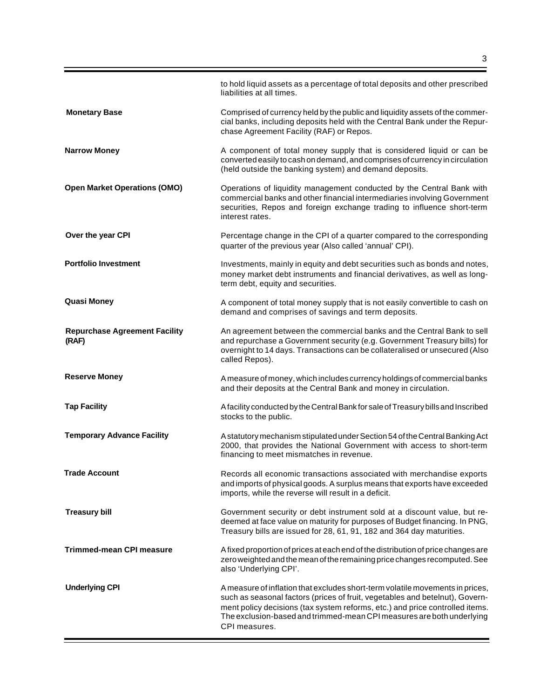|                                               | to hold liquid assets as a percentage of total deposits and other prescribed<br>liabilities at all times.                                                                                                                                                                                                                               |
|-----------------------------------------------|-----------------------------------------------------------------------------------------------------------------------------------------------------------------------------------------------------------------------------------------------------------------------------------------------------------------------------------------|
| <b>Monetary Base</b>                          | Comprised of currency held by the public and liquidity assets of the commer-<br>cial banks, including deposits held with the Central Bank under the Repur-<br>chase Agreement Facility (RAF) or Repos.                                                                                                                                  |
| <b>Narrow Money</b>                           | A component of total money supply that is considered liquid or can be<br>converted easily to cash on demand, and comprises of currency in circulation<br>(held outside the banking system) and demand deposits.                                                                                                                         |
| <b>Open Market Operations (OMO)</b>           | Operations of liquidity management conducted by the Central Bank with<br>commercial banks and other financial intermediaries involving Government<br>securities, Repos and foreign exchange trading to influence short-term<br>interest rates.                                                                                          |
| Over the year CPI                             | Percentage change in the CPI of a quarter compared to the corresponding<br>quarter of the previous year (Also called 'annual' CPI).                                                                                                                                                                                                     |
| <b>Portfolio Investment</b>                   | Investments, mainly in equity and debt securities such as bonds and notes,<br>money market debt instruments and financial derivatives, as well as long-<br>term debt, equity and securities.                                                                                                                                            |
| <b>Quasi Money</b>                            | A component of total money supply that is not easily convertible to cash on<br>demand and comprises of savings and term deposits.                                                                                                                                                                                                       |
| <b>Repurchase Agreement Facility</b><br>(RAF) | An agreement between the commercial banks and the Central Bank to sell<br>and repurchase a Government security (e.g. Government Treasury bills) for<br>overnight to 14 days. Transactions can be collateralised or unsecured (Also<br>called Repos).                                                                                    |
| <b>Reserve Money</b>                          | A measure of money, which includes currency holdings of commercial banks<br>and their deposits at the Central Bank and money in circulation.                                                                                                                                                                                            |
| <b>Tap Facility</b>                           | A facility conducted by the Central Bank for sale of Treasury bills and Inscribed<br>stocks to the public.                                                                                                                                                                                                                              |
| <b>Temporary Advance Facility</b>             | A statutory mechanism stipulated under Section 54 of the Central Banking Act<br>2000, that provides the National Government with access to short-term<br>financing to meet mismatches in revenue.                                                                                                                                       |
| <b>Trade Account</b>                          | Records all economic transactions associated with merchandise exports<br>and imports of physical goods. A surplus means that exports have exceeded<br>imports, while the reverse will result in a deficit.                                                                                                                              |
| <b>Treasury bill</b>                          | Government security or debt instrument sold at a discount value, but re-<br>deemed at face value on maturity for purposes of Budget financing. In PNG,<br>Treasury bills are issued for 28, 61, 91, 182 and 364 day maturities.                                                                                                         |
| <b>Trimmed-mean CPI measure</b>               | A fixed proportion of prices at each end of the distribution of price changes are<br>zero weighted and the mean of the remaining price changes recomputed. See<br>also 'Underlying CPI'.                                                                                                                                                |
| <b>Underlying CPI</b>                         | A measure of inflation that excludes short-term volatile movements in prices,<br>such as seasonal factors (prices of fruit, vegetables and betelnut), Govern-<br>ment policy decisions (tax system reforms, etc.) and price controlled items.<br>The exclusion-based and trimmed-mean CPI measures are both underlying<br>CPI measures. |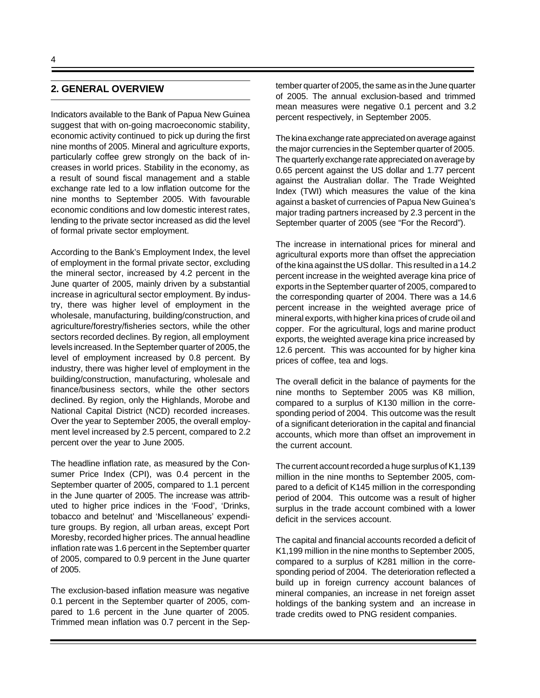## **2. GENERAL OVERVIEW**

Indicators available to the Bank of Papua New Guinea suggest that with on-going macroeconomic stability, economic activity continued to pick up during the first nine months of 2005. Mineral and agriculture exports, particularly coffee grew strongly on the back of increases in world prices. Stability in the economy, as a result of sound fiscal management and a stable exchange rate led to a low inflation outcome for the nine months to September 2005. With favourable economic conditions and low domestic interest rates, lending to the private sector increased as did the level of formal private sector employment.

According to the Bank's Employment Index, the level of employment in the formal private sector, excluding the mineral sector, increased by 4.2 percent in the June quarter of 2005, mainly driven by a substantial increase in agricultural sector employment. By industry, there was higher level of employment in the wholesale, manufacturing, building/construction, and agriculture/forestry/fisheries sectors, while the other sectors recorded declines. By region, all employment levels increased. In the September quarter of 2005, the level of employment increased by 0.8 percent. By industry, there was higher level of employment in the building/construction, manufacturing, wholesale and finance/business sectors, while the other sectors declined. By region, only the Highlands, Morobe and National Capital District (NCD) recorded increases. Over the year to September 2005, the overall employment level increased by 2.5 percent, compared to 2.2 percent over the year to June 2005.

The headline inflation rate, as measured by the Consumer Price Index (CPI), was 0.4 percent in the September quarter of 2005, compared to 1.1 percent in the June quarter of 2005. The increase was attributed to higher price indices in the 'Food', 'Drinks, tobacco and betelnut' and 'Miscellaneous' expenditure groups. By region, all urban areas, except Port Moresby, recorded higher prices. The annual headline inflation rate was 1.6 percent in the September quarter of 2005, compared to 0.9 percent in the June quarter of 2005.

The exclusion-based inflation measure was negative 0.1 percent in the September quarter of 2005, compared to 1.6 percent in the June quarter of 2005. Trimmed mean inflation was 0.7 percent in the September quarter of 2005, the same as in the June quarter of 2005. The annual exclusion-based and trimmed mean measures were negative 0.1 percent and 3.2 percent respectively, in September 2005.

The kina exchange rate appreciated on average against the major currencies in the September quarter of 2005. The quarterly exchange rate appreciated on average by 0.65 percent against the US dollar and 1.77 percent against the Australian dollar. The Trade Weighted Index (TWI) which measures the value of the kina against a basket of currencies of Papua New Guinea's major trading partners increased by 2.3 percent in the September quarter of 2005 (see "For the Record").

The increase in international prices for mineral and agricultural exports more than offset the appreciation of the kina against the US dollar. This resulted in a 14.2 percent increase in the weighted average kina price of exports in the September quarter of 2005, compared to the corresponding quarter of 2004. There was a 14.6 percent increase in the weighted average price of mineral exports, with higher kina prices of crude oil and copper. For the agricultural, logs and marine product exports, the weighted average kina price increased by 12.6 percent. This was accounted for by higher kina prices of coffee, tea and logs.

The overall deficit in the balance of payments for the nine months to September 2005 was K8 million, compared to a surplus of K130 million in the corresponding period of 2004. This outcome was the result of a significant deterioration in the capital and financial accounts, which more than offset an improvement in the current account.

The current account recorded a huge surplus of K1,139 million in the nine months to September 2005, compared to a deficit of K145 million in the corresponding period of 2004. This outcome was a result of higher surplus in the trade account combined with a lower deficit in the services account.

The capital and financial accounts recorded a deficit of K1,199 million in the nine months to September 2005, compared to a surplus of K281 million in the corresponding period of 2004. The deterioration reflected a build up in foreign currency account balances of mineral companies, an increase in net foreign asset holdings of the banking system and an increase in trade credits owed to PNG resident companies.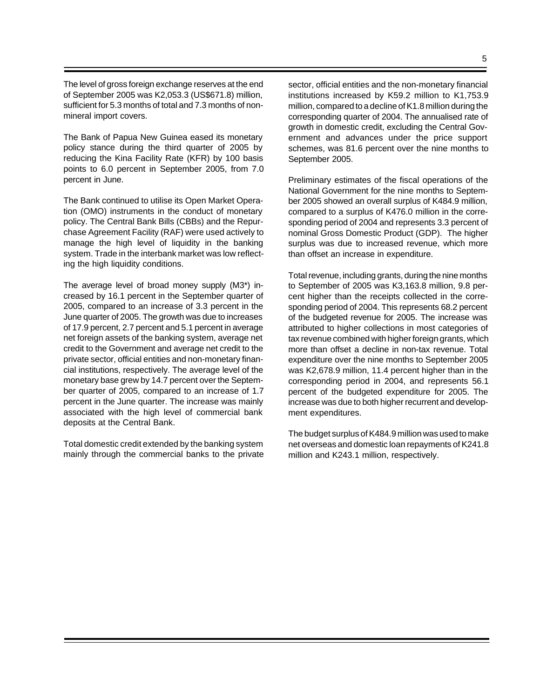The level of gross foreign exchange reserves at the end of September 2005 was K2,053.3 (US\$671.8) million, sufficient for 5.3 months of total and 7.3 months of nonmineral import covers.

The Bank of Papua New Guinea eased its monetary policy stance during the third quarter of 2005 by reducing the Kina Facility Rate (KFR) by 100 basis points to 6.0 percent in September 2005, from 7.0 percent in June.

The Bank continued to utilise its Open Market Operation (OMO) instruments in the conduct of monetary policy. The Central Bank Bills (CBBs) and the Repurchase Agreement Facility (RAF) were used actively to manage the high level of liquidity in the banking system. Trade in the interbank market was low reflecting the high liquidity conditions.

The average level of broad money supply (M3\*) increased by 16.1 percent in the September quarter of 2005, compared to an increase of 3.3 percent in the June quarter of 2005. The growth was due to increases of 17.9 percent, 2.7 percent and 5.1 percent in average net foreign assets of the banking system, average net credit to the Government and average net credit to the private sector, official entities and non-monetary financial institutions, respectively. The average level of the monetary base grew by 14.7 percent over the September quarter of 2005, compared to an increase of 1.7 percent in the June quarter. The increase was mainly associated with the high level of commercial bank deposits at the Central Bank.

Total domestic credit extended by the banking system mainly through the commercial banks to the private sector, official entities and the non-monetary financial institutions increased by K59.2 million to K1,753.9 million, compared to a decline of K1.8 million during the corresponding quarter of 2004. The annualised rate of growth in domestic credit, excluding the Central Government and advances under the price support schemes, was 81.6 percent over the nine months to September 2005.

Preliminary estimates of the fiscal operations of the National Government for the nine months to September 2005 showed an overall surplus of K484.9 million, compared to a surplus of K476.0 million in the corresponding period of 2004 and represents 3.3 percent of nominal Gross Domestic Product (GDP). The higher surplus was due to increased revenue, which more than offset an increase in expenditure.

Total revenue, including grants, during the nine months to September of 2005 was K3,163.8 million, 9.8 percent higher than the receipts collected in the corresponding period of 2004. This represents 68.2 percent of the budgeted revenue for 2005. The increase was attributed to higher collections in most categories of tax revenue combined with higher foreign grants, which more than offset a decline in non-tax revenue. Total expenditure over the nine months to September 2005 was K2,678.9 million, 11.4 percent higher than in the corresponding period in 2004, and represents 56.1 percent of the budgeted expenditure for 2005. The increase was due to both higher recurrent and development expenditures.

The budget surplus of K484.9 million was used to make net overseas and domestic loan repayments of K241.8 million and K243.1 million, respectively.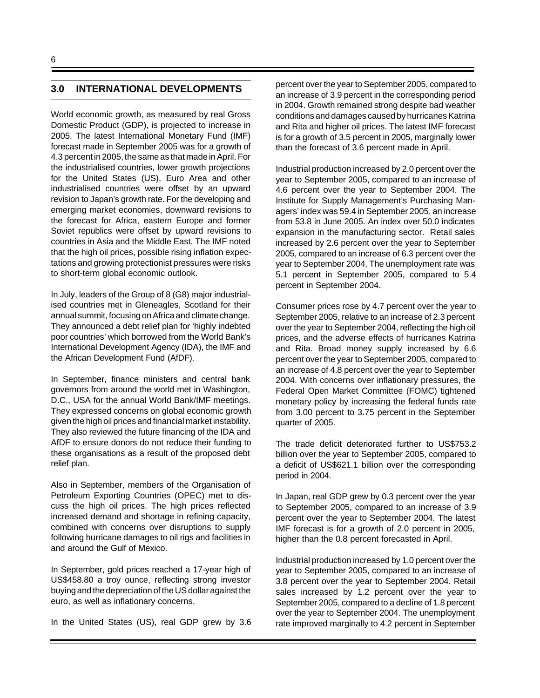## **3.0 INTERNATIONAL DEVELOPMENTS**

World economic growth, as measured by real Gross Domestic Product (GDP), is projected to increase in 2005. The latest International Monetary Fund (IMF) forecast made in September 2005 was for a growth of 4.3 percent in 2005, the same as that made in April. For the industrialised countries, lower growth projections for the United States (US), Euro Area and other industrialised countries were offset by an upward revision to Japan's growth rate. For the developing and emerging market economies, downward revisions to the forecast for Africa, eastern Europe and former Soviet republics were offset by upward revisions to countries in Asia and the Middle East. The IMF noted that the high oil prices, possible rising inflation expectations and growing protectionist pressures were risks to short-term global economic outlook.

In July, leaders of the Group of 8 (G8) major industrialised countries met in Gleneagles, Scotland for their annual summit, focusing on Africa and climate change. They announced a debt relief plan for 'highly indebted poor countries' which borrowed from the World Bank's International Development Agency (IDA), the IMF and the African Development Fund (AfDF).

In September, finance ministers and central bank governors from around the world met in Washington, D.C., USA for the annual World Bank/IMF meetings. They expressed concerns on global economic growth given the high oil prices and financial market instability. They also reviewed the future financing of the IDA and AfDF to ensure donors do not reduce their funding to these organisations as a result of the proposed debt relief plan.

Also in September, members of the Organisation of Petroleum Exporting Countries (OPEC) met to discuss the high oil prices. The high prices reflected increased demand and shortage in refining capacity, combined with concerns over disruptions to supply following hurricane damages to oil rigs and facilities in and around the Gulf of Mexico.

In September, gold prices reached a 17-year high of US\$458.80 a troy ounce, reflecting strong investor buying and the depreciation of the US dollar against the euro, as well as inflationary concerns.

In the United States (US), real GDP grew by 3.6

percent over the year to September 2005, compared to an increase of 3.9 percent in the corresponding period in 2004. Growth remained strong despite bad weather conditions and damages caused by hurricanes Katrina and Rita and higher oil prices. The latest IMF forecast is for a growth of 3.5 percent in 2005, marginally lower than the forecast of 3.6 percent made in April.

Industrial production increased by 2.0 percent over the year to September 2005, compared to an increase of 4.6 percent over the year to September 2004. The Institute for Supply Management's Purchasing Managers' index was 59.4 in September 2005, an increase from 53.8 in June 2005. An index over 50.0 indicates expansion in the manufacturing sector. Retail sales increased by 2.6 percent over the year to September 2005, compared to an increase of 6.3 percent over the year to September 2004. The unemployment rate was 5.1 percent in September 2005, compared to 5.4 percent in September 2004.

Consumer prices rose by 4.7 percent over the year to September 2005, relative to an increase of 2.3 percent over the year to September 2004, reflecting the high oil prices, and the adverse effects of hurricanes Katrina and Rita. Broad money supply increased by 6.6 percent over the year to September 2005, compared to an increase of 4.8 percent over the year to September 2004. With concerns over inflationary pressures, the Federal Open Market Committee (FOMC) tightened monetary policy by increasing the federal funds rate from 3.00 percent to 3.75 percent in the September quarter of 2005.

The trade deficit deteriorated further to US\$753.2 billion over the year to September 2005, compared to a deficit of US\$621.1 billion over the corresponding period in 2004.

In Japan, real GDP grew by 0.3 percent over the year to September 2005, compared to an increase of 3.9 percent over the year to September 2004. The latest IMF forecast is for a growth of 2.0 percent in 2005, higher than the 0.8 percent forecasted in April.

Industrial production increased by 1.0 percent over the year to September 2005, compared to an increase of 3.8 percent over the year to September 2004. Retail sales increased by 1.2 percent over the year to September 2005, compared to a decline of 1.8 percent over the year to September 2004. The unemployment rate improved marginally to 4.2 percent in September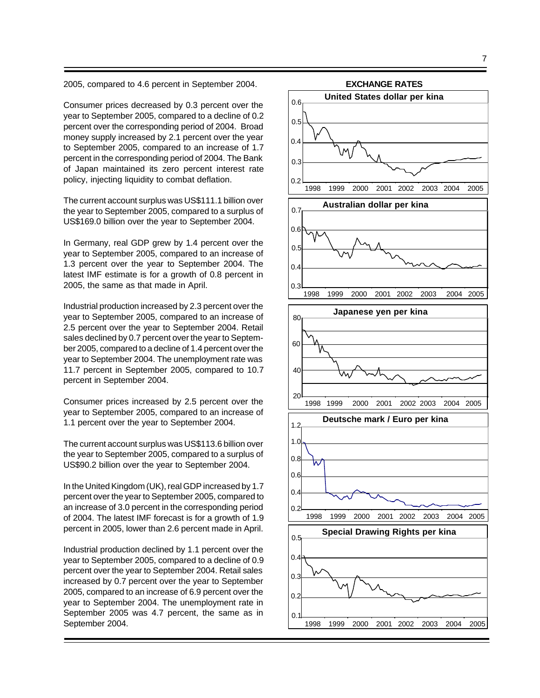2005, compared to 4.6 percent in September 2004.

Consumer prices decreased by 0.3 percent over the year to September 2005, compared to a decline of 0.2 percent over the corresponding period of 2004. Broad money supply increased by 2.1 percent over the year to September 2005, compared to an increase of 1.7 percent in the corresponding period of 2004. The Bank of Japan maintained its zero percent interest rate policy, injecting liquidity to combat deflation.

The current account surplus was US\$111.1 billion over the year to September 2005, compared to a surplus of US\$169.0 billion over the year to September 2004.

In Germany, real GDP grew by 1.4 percent over the year to September 2005, compared to an increase of 1.3 percent over the year to September 2004. The latest IMF estimate is for a growth of 0.8 percent in 2005, the same as that made in April.

Industrial production increased by 2.3 percent over the year to September 2005, compared to an increase of 2.5 percent over the year to September 2004. Retail sales declined by 0.7 percent over the year to September 2005, compared to a decline of 1.4 percent over the year to September 2004. The unemployment rate was 11.7 percent in September 2005, compared to 10.7 percent in September 2004.

Consumer prices increased by 2.5 percent over the year to September 2005, compared to an increase of 1.1 percent over the year to September 2004.

The current account surplus was US\$113.6 billion over the year to September 2005, compared to a surplus of US\$90.2 billion over the year to September 2004.

In the United Kingdom (UK), real GDP increased by 1.7 percent over the year to September 2005, compared to an increase of 3.0 percent in the corresponding period of 2004. The latest IMF forecast is for a growth of 1.9 percent in 2005, lower than 2.6 percent made in April.

Industrial production declined by 1.1 percent over the year to September 2005, compared to a decline of 0.9 percent over the year to September 2004. Retail sales increased by 0.7 percent over the year to September 2005, compared to an increase of 6.9 percent over the year to September 2004. The unemployment rate in September 2005 was 4.7 percent, the same as in September 2004.

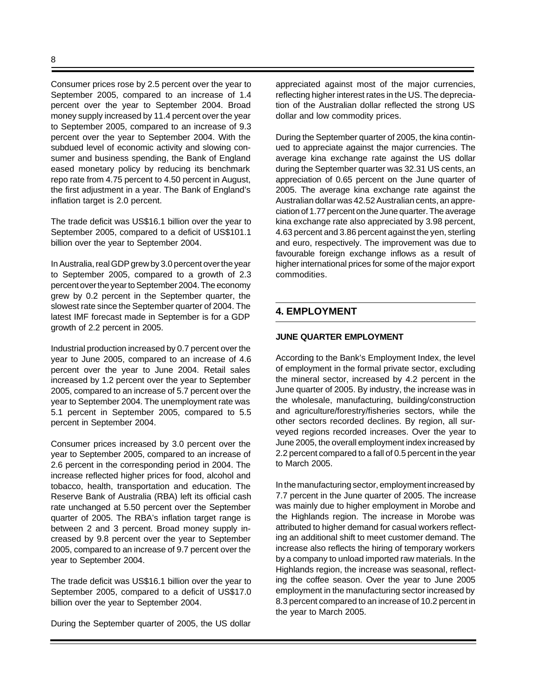Consumer prices rose by 2.5 percent over the year to September 2005, compared to an increase of 1.4 percent over the year to September 2004. Broad money supply increased by 11.4 percent over the year to September 2005, compared to an increase of 9.3 percent over the year to September 2004. With the subdued level of economic activity and slowing consumer and business spending, the Bank of England eased monetary policy by reducing its benchmark repo rate from 4.75 percent to 4.50 percent in August, the first adjustment in a year. The Bank of England's inflation target is 2.0 percent.

The trade deficit was US\$16.1 billion over the year to September 2005, compared to a deficit of US\$101.1 billion over the year to September 2004.

In Australia, real GDP grew by 3.0 percent over the year to September 2005, compared to a growth of 2.3 percent over the year to September 2004. The economy grew by 0.2 percent in the September quarter, the slowest rate since the September quarter of 2004. The latest IMF forecast made in September is for a GDP growth of 2.2 percent in 2005.

Industrial production increased by 0.7 percent over the year to June 2005, compared to an increase of 4.6 percent over the year to June 2004. Retail sales increased by 1.2 percent over the year to September 2005, compared to an increase of 5.7 percent over the year to September 2004. The unemployment rate was 5.1 percent in September 2005, compared to 5.5 percent in September 2004.

Consumer prices increased by 3.0 percent over the year to September 2005, compared to an increase of 2.6 percent in the corresponding period in 2004. The increase reflected higher prices for food, alcohol and tobacco, health, transportation and education. The Reserve Bank of Australia (RBA) left its official cash rate unchanged at 5.50 percent over the September quarter of 2005. The RBA's inflation target range is between 2 and 3 percent. Broad money supply increased by 9.8 percent over the year to September 2005, compared to an increase of 9.7 percent over the year to September 2004.

The trade deficit was US\$16.1 billion over the year to September 2005, compared to a deficit of US\$17.0 billion over the year to September 2004.

During the September quarter of 2005, the US dollar

appreciated against most of the major currencies, reflecting higher interest rates in the US. The depreciation of the Australian dollar reflected the strong US dollar and low commodity prices.

During the September quarter of 2005, the kina continued to appreciate against the major currencies. The average kina exchange rate against the US dollar during the September quarter was 32.31 US cents, an appreciation of 0.65 percent on the June quarter of 2005. The average kina exchange rate against the Australian dollar was 42.52 Australian cents, an appreciation of 1.77 percent on the June quarter. The average kina exchange rate also appreciated by 3.98 percent, 4.63 percent and 3.86 percent against the yen, sterling and euro, respectively. The improvement was due to favourable foreign exchange inflows as a result of higher international prices for some of the major export commodities.

## **4. EMPLOYMENT**

#### **JUNE QUARTER EMPLOYMENT**

According to the Bank's Employment Index, the level of employment in the formal private sector, excluding the mineral sector, increased by 4.2 percent in the June quarter of 2005. By industry, the increase was in the wholesale, manufacturing, building/construction and agriculture/forestry/fisheries sectors, while the other sectors recorded declines. By region, all surveyed regions recorded increases. Over the year to June 2005, the overall employment index increased by 2.2 percent compared to a fall of 0.5 percent in the year to March 2005.

In the manufacturing sector, employment increased by 7.7 percent in the June quarter of 2005. The increase was mainly due to higher employment in Morobe and the Highlands region. The increase in Morobe was attributed to higher demand for casual workers reflecting an additional shift to meet customer demand. The increase also reflects the hiring of temporary workers by a company to unload imported raw materials. In the Highlands region, the increase was seasonal, reflecting the coffee season. Over the year to June 2005 employment in the manufacturing sector increased by 8.3 percent compared to an increase of 10.2 percent in the year to March 2005.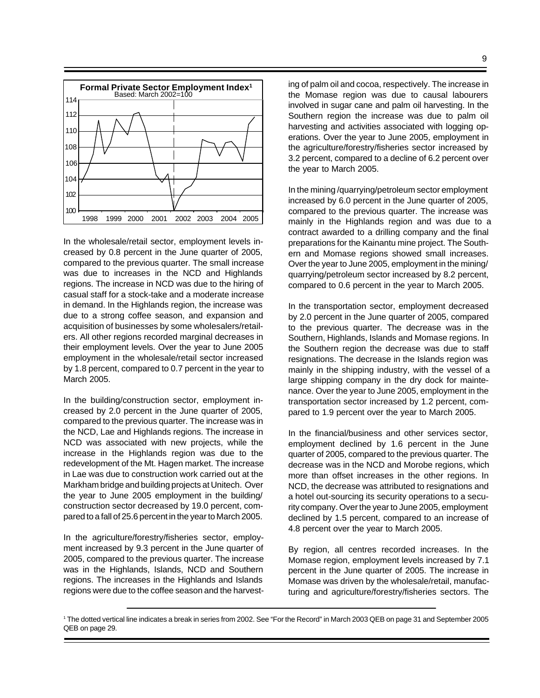

In the wholesale/retail sector, employment levels increased by 0.8 percent in the June quarter of 2005, compared to the previous quarter. The small increase was due to increases in the NCD and Highlands regions. The increase in NCD was due to the hiring of casual staff for a stock-take and a moderate increase in demand. In the Highlands region, the increase was due to a strong coffee season, and expansion and acquisition of businesses by some wholesalers/retailers. All other regions recorded marginal decreases in their employment levels. Over the year to June 2005 employment in the wholesale/retail sector increased by 1.8 percent, compared to 0.7 percent in the year to March 2005.

In the building/construction sector, employment increased by 2.0 percent in the June quarter of 2005, compared to the previous quarter. The increase was in the NCD, Lae and Highlands regions. The increase in NCD was associated with new projects, while the increase in the Highlands region was due to the redevelopment of the Mt. Hagen market. The increase in Lae was due to construction work carried out at the Markham bridge and building projects at Unitech. Over the year to June 2005 employment in the building/ construction sector decreased by 19.0 percent, compared to a fall of 25.6 percent in the year to March 2005.

In the agriculture/forestry/fisheries sector, employment increased by 9.3 percent in the June quarter of 2005, compared to the previous quarter. The increase was in the Highlands, Islands, NCD and Southern regions. The increases in the Highlands and Islands regions were due to the coffee season and the harvesting of palm oil and cocoa, respectively. The increase in the Momase region was due to causal labourers involved in sugar cane and palm oil harvesting. In the Southern region the increase was due to palm oil harvesting and activities associated with logging operations. Over the year to June 2005, employment in the agriculture/forestry/fisheries sector increased by 3.2 percent, compared to a decline of 6.2 percent over the year to March 2005.

In the mining /quarrying/petroleum sector employment increased by 6.0 percent in the June quarter of 2005, compared to the previous quarter. The increase was mainly in the Highlands region and was due to a contract awarded to a drilling company and the final preparations for the Kainantu mine project. The Southern and Momase regions showed small increases. Over the year to June 2005, employment in the mining/ quarrying/petroleum sector increased by 8.2 percent, compared to 0.6 percent in the year to March 2005.

In the transportation sector, employment decreased by 2.0 percent in the June quarter of 2005, compared to the previous quarter. The decrease was in the Southern, Highlands, Islands and Momase regions. In the Southern region the decrease was due to staff resignations. The decrease in the Islands region was mainly in the shipping industry, with the vessel of a large shipping company in the dry dock for maintenance. Over the year to June 2005, employment in the transportation sector increased by 1.2 percent, compared to 1.9 percent over the year to March 2005.

In the financial/business and other services sector, employment declined by 1.6 percent in the June quarter of 2005, compared to the previous quarter. The decrease was in the NCD and Morobe regions, which more than offset increases in the other regions. In NCD, the decrease was attributed to resignations and a hotel out-sourcing its security operations to a security company. Over the year to June 2005, employment declined by 1.5 percent, compared to an increase of 4.8 percent over the year to March 2005.

By region, all centres recorded increases. In the Momase region, employment levels increased by 7.1 percent in the June quarter of 2005. The increase in Momase was driven by the wholesale/retail, manufacturing and agriculture/forestry/fisheries sectors. The

<sup>1</sup> The dotted vertical line indicates a break in series from 2002. See "For the Record" in March 2003 QEB on page 31 and September 2005 QEB on page 29.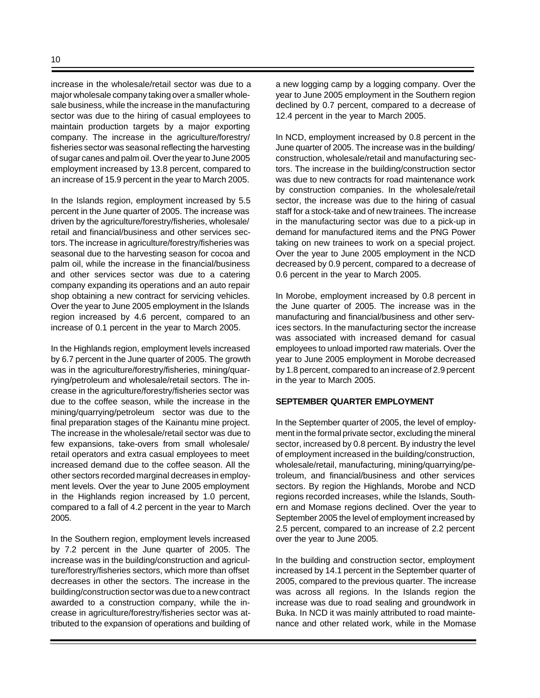increase in the wholesale/retail sector was due to a major wholesale company taking over a smaller wholesale business, while the increase in the manufacturing sector was due to the hiring of casual employees to maintain production targets by a major exporting company. The increase in the agriculture/forestry/ fisheries sector was seasonal reflecting the harvesting of sugar canes and palm oil. Over the year to June 2005 employment increased by 13.8 percent, compared to an increase of 15.9 percent in the year to March 2005.

In the Islands region, employment increased by 5.5 percent in the June quarter of 2005. The increase was driven by the agriculture/forestry/fisheries, wholesale/ retail and financial/business and other services sectors. The increase in agriculture/forestry/fisheries was seasonal due to the harvesting season for cocoa and palm oil, while the increase in the financial/business and other services sector was due to a catering company expanding its operations and an auto repair shop obtaining a new contract for servicing vehicles. Over the year to June 2005 employment in the Islands region increased by 4.6 percent, compared to an increase of 0.1 percent in the year to March 2005.

In the Highlands region, employment levels increased by 6.7 percent in the June quarter of 2005. The growth was in the agriculture/forestry/fisheries, mining/quarrying/petroleum and wholesale/retail sectors. The increase in the agriculture/forestry/fisheries sector was due to the coffee season, while the increase in the mining/quarrying/petroleum sector was due to the final preparation stages of the Kainantu mine project. The increase in the wholesale/retail sector was due to few expansions, take-overs from small wholesale/ retail operators and extra casual employees to meet increased demand due to the coffee season. All the other sectors recorded marginal decreases in employment levels. Over the year to June 2005 employment in the Highlands region increased by 1.0 percent, compared to a fall of 4.2 percent in the year to March 2005.

In the Southern region, employment levels increased by 7.2 percent in the June quarter of 2005. The increase was in the building/construction and agriculture/forestry/fisheries sectors, which more than offset decreases in other the sectors. The increase in the building/construction sector was due to a new contract awarded to a construction company, while the increase in agriculture/forestry/fisheries sector was attributed to the expansion of operations and building of a new logging camp by a logging company. Over the year to June 2005 employment in the Southern region declined by 0.7 percent, compared to a decrease of 12.4 percent in the year to March 2005.

In NCD, employment increased by 0.8 percent in the June quarter of 2005. The increase was in the building/ construction, wholesale/retail and manufacturing sectors. The increase in the building/construction sector was due to new contracts for road maintenance work by construction companies. In the wholesale/retail sector, the increase was due to the hiring of casual staff for a stock-take and of new trainees. The increase in the manufacturing sector was due to a pick-up in demand for manufactured items and the PNG Power taking on new trainees to work on a special project. Over the year to June 2005 employment in the NCD decreased by 0.9 percent, compared to a decrease of 0.6 percent in the year to March 2005.

In Morobe, employment increased by 0.8 percent in the June quarter of 2005. The increase was in the manufacturing and financial/business and other services sectors. In the manufacturing sector the increase was associated with increased demand for casual employees to unload imported raw materials. Over the year to June 2005 employment in Morobe decreased by 1.8 percent, compared to an increase of 2.9 percent in the year to March 2005.

#### **SEPTEMBER QUARTER EMPLOYMENT**

In the September quarter of 2005, the level of employment in the formal private sector, excluding the mineral sector, increased by 0.8 percent. By industry the level of employment increased in the building/construction, wholesale/retail, manufacturing, mining/quarrying/petroleum, and financial/business and other services sectors. By region the Highlands, Morobe and NCD regions recorded increases, while the Islands, Southern and Momase regions declined. Over the year to September 2005 the level of employment increased by 2.5 percent, compared to an increase of 2.2 percent over the year to June 2005.

In the building and construction sector, employment increased by 14.1 percent in the September quarter of 2005, compared to the previous quarter. The increase was across all regions. In the Islands region the increase was due to road sealing and groundwork in Buka. In NCD it was mainly attributed to road maintenance and other related work, while in the Momase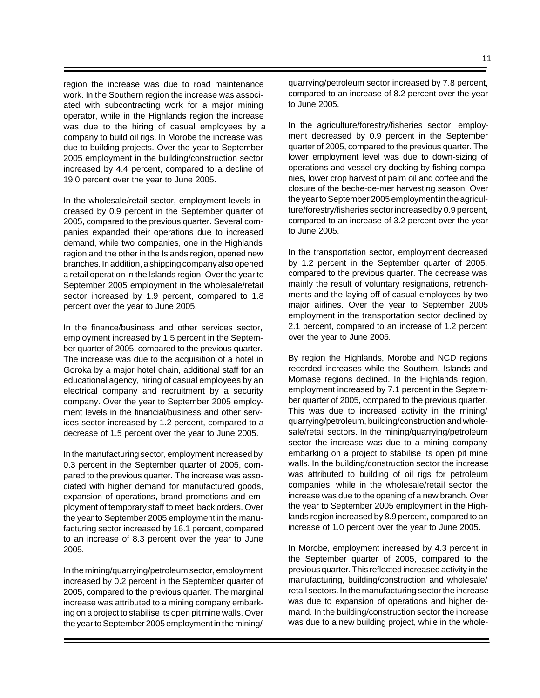region the increase was due to road maintenance work. In the Southern region the increase was associated with subcontracting work for a major mining operator, while in the Highlands region the increase was due to the hiring of casual employees by a company to build oil rigs. In Morobe the increase was due to building projects. Over the year to September 2005 employment in the building/construction sector increased by 4.4 percent, compared to a decline of 19.0 percent over the year to June 2005.

In the wholesale/retail sector, employment levels increased by 0.9 percent in the September quarter of 2005, compared to the previous quarter. Several companies expanded their operations due to increased demand, while two companies, one in the Highlands region and the other in the Islands region, opened new branches. In addition, a shipping company also opened a retail operation in the Islands region. Over the year to September 2005 employment in the wholesale/retail sector increased by 1.9 percent, compared to 1.8 percent over the year to June 2005.

In the finance/business and other services sector, employment increased by 1.5 percent in the September quarter of 2005, compared to the previous quarter. The increase was due to the acquisition of a hotel in Goroka by a major hotel chain, additional staff for an educational agency, hiring of casual employees by an electrical company and recruitment by a security company. Over the year to September 2005 employment levels in the financial/business and other services sector increased by 1.2 percent, compared to a decrease of 1.5 percent over the year to June 2005.

In the manufacturing sector, employment increased by 0.3 percent in the September quarter of 2005, compared to the previous quarter. The increase was associated with higher demand for manufactured goods, expansion of operations, brand promotions and employment of temporary staff to meet back orders. Over the year to September 2005 employment in the manufacturing sector increased by 16.1 percent, compared to an increase of 8.3 percent over the year to June 2005.

In the mining/quarrying/petroleum sector, employment increased by 0.2 percent in the September quarter of 2005, compared to the previous quarter. The marginal increase was attributed to a mining company embarking on a project to stabilise its open pit mine walls. Over the year to September 2005 employment in the mining/

quarrying/petroleum sector increased by 7.8 percent, compared to an increase of 8.2 percent over the year to June 2005.

In the agriculture/forestry/fisheries sector, employment decreased by 0.9 percent in the September quarter of 2005, compared to the previous quarter. The lower employment level was due to down-sizing of operations and vessel dry docking by fishing companies, lower crop harvest of palm oil and coffee and the closure of the beche-de-mer harvesting season. Over the year to September 2005 employment in the agriculture/forestry/fisheries sector increased by 0.9 percent, compared to an increase of 3.2 percent over the year to June 2005.

In the transportation sector, employment decreased by 1.2 percent in the September quarter of 2005, compared to the previous quarter. The decrease was mainly the result of voluntary resignations, retrenchments and the laying-off of casual employees by two major airlines. Over the year to September 2005 employment in the transportation sector declined by 2.1 percent, compared to an increase of 1.2 percent over the year to June 2005.

By region the Highlands, Morobe and NCD regions recorded increases while the Southern, Islands and Momase regions declined. In the Highlands region, employment increased by 7.1 percent in the September quarter of 2005, compared to the previous quarter. This was due to increased activity in the mining/ quarrying/petroleum, building/construction and wholesale/retail sectors. In the mining/quarrying/petroleum sector the increase was due to a mining company embarking on a project to stabilise its open pit mine walls. In the building/construction sector the increase was attributed to building of oil rigs for petroleum companies, while in the wholesale/retail sector the increase was due to the opening of a new branch. Over the year to September 2005 employment in the Highlands region increased by 8.9 percent, compared to an increase of 1.0 percent over the year to June 2005.

In Morobe, employment increased by 4.3 percent in the September quarter of 2005, compared to the previous quarter. This reflected increased activity in the manufacturing, building/construction and wholesale/ retail sectors. In the manufacturing sector the increase was due to expansion of operations and higher demand. In the building/construction sector the increase was due to a new building project, while in the whole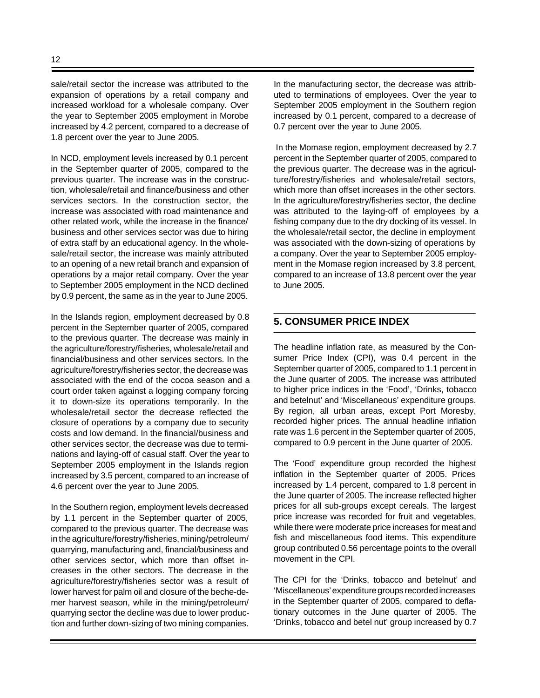sale/retail sector the increase was attributed to the expansion of operations by a retail company and increased workload for a wholesale company. Over the year to September 2005 employment in Morobe increased by 4.2 percent, compared to a decrease of 1.8 percent over the year to June 2005.

In NCD, employment levels increased by 0.1 percent in the September quarter of 2005, compared to the previous quarter. The increase was in the construction, wholesale/retail and finance/business and other services sectors. In the construction sector, the increase was associated with road maintenance and other related work, while the increase in the finance/ business and other services sector was due to hiring of extra staff by an educational agency. In the wholesale/retail sector, the increase was mainly attributed to an opening of a new retail branch and expansion of operations by a major retail company. Over the year to September 2005 employment in the NCD declined by 0.9 percent, the same as in the year to June 2005.

In the Islands region, employment decreased by 0.8 percent in the September quarter of 2005, compared to the previous quarter. The decrease was mainly in the agriculture/forestry/fisheries, wholesale/retail and financial/business and other services sectors. In the agriculture/forestry/fisheries sector, the decrease was associated with the end of the cocoa season and a court order taken against a logging company forcing it to down-size its operations temporarily. In the wholesale/retail sector the decrease reflected the closure of operations by a company due to security costs and low demand. In the financial/business and other services sector, the decrease was due to terminations and laying-off of casual staff. Over the year to September 2005 employment in the Islands region increased by 3.5 percent, compared to an increase of 4.6 percent over the year to June 2005.

In the Southern region, employment levels decreased by 1.1 percent in the September quarter of 2005, compared to the previous quarter. The decrease was in the agriculture/forestry/fisheries, mining/petroleum/ quarrying, manufacturing and, financial/business and other services sector, which more than offset increases in the other sectors. The decrease in the agriculture/forestry/fisheries sector was a result of lower harvest for palm oil and closure of the beche-demer harvest season, while in the mining/petroleum/ quarrying sector the decline was due to lower production and further down-sizing of two mining companies.

In the manufacturing sector, the decrease was attributed to terminations of employees. Over the year to September 2005 employment in the Southern region increased by 0.1 percent, compared to a decrease of 0.7 percent over the year to June 2005.

 In the Momase region, employment decreased by 2.7 percent in the September quarter of 2005, compared to the previous quarter. The decrease was in the agriculture/forestry/fisheries and wholesale/retail sectors, which more than offset increases in the other sectors. In the agriculture/forestry/fisheries sector, the decline was attributed to the laying-off of employees by a fishing company due to the dry docking of its vessel. In the wholesale/retail sector, the decline in employment was associated with the down-sizing of operations by a company. Over the year to September 2005 employment in the Momase region increased by 3.8 percent, compared to an increase of 13.8 percent over the year to June 2005.

## **5. CONSUMER PRICE INDEX**

The headline inflation rate, as measured by the Consumer Price Index (CPI), was 0.4 percent in the September quarter of 2005, compared to 1.1 percent in the June quarter of 2005. The increase was attributed to higher price indices in the 'Food', 'Drinks, tobacco and betelnut' and 'Miscellaneous' expenditure groups. By region, all urban areas, except Port Moresby, recorded higher prices. The annual headline inflation rate was 1.6 percent in the September quarter of 2005, compared to 0.9 percent in the June quarter of 2005.

The 'Food' expenditure group recorded the highest inflation in the September quarter of 2005. Prices increased by 1.4 percent, compared to 1.8 percent in the June quarter of 2005. The increase reflected higher prices for all sub-groups except cereals. The largest price increase was recorded for fruit and vegetables, while there were moderate price increases for meat and fish and miscellaneous food items. This expenditure group contributed 0.56 percentage points to the overall movement in the CPI.

The CPI for the 'Drinks, tobacco and betelnut' and 'Miscellaneous' expenditure groups recorded increases in the September quarter of 2005, compared to deflationary outcomes in the June quarter of 2005. The 'Drinks, tobacco and betel nut' group increased by 0.7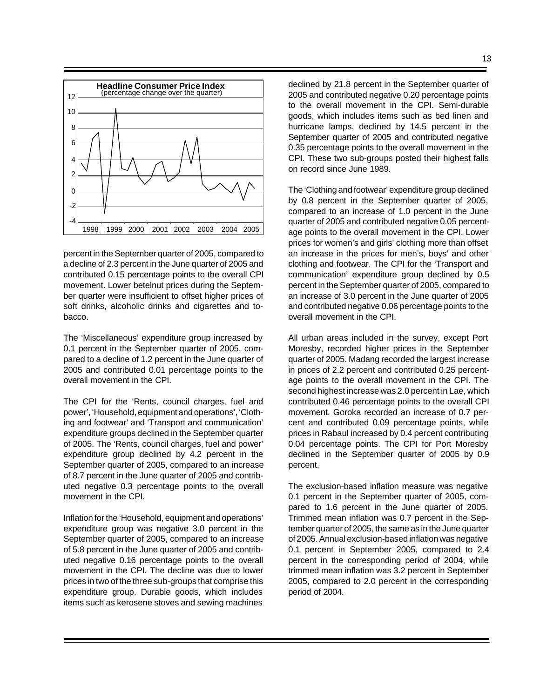

percent in the September quarter of 2005, compared to a decline of 2.3 percent in the June quarter of 2005 and contributed 0.15 percentage points to the overall CPI movement. Lower betelnut prices during the September quarter were insufficient to offset higher prices of soft drinks, alcoholic drinks and cigarettes and tobacco.

The 'Miscellaneous' expenditure group increased by 0.1 percent in the September quarter of 2005, compared to a decline of 1.2 percent in the June quarter of 2005 and contributed 0.01 percentage points to the overall movement in the CPI.

The CPI for the 'Rents, council charges, fuel and power', 'Household, equipment and operations', 'Clothing and footwear' and 'Transport and communication' expenditure groups declined in the September quarter of 2005. The 'Rents, council charges, fuel and power' expenditure group declined by 4.2 percent in the September quarter of 2005, compared to an increase of 8.7 percent in the June quarter of 2005 and contributed negative 0.3 percentage points to the overall movement in the CPI.

Inflation for the 'Household, equipment and operations' expenditure group was negative 3.0 percent in the September quarter of 2005, compared to an increase of 5.8 percent in the June quarter of 2005 and contributed negative 0.16 percentage points to the overall movement in the CPI. The decline was due to lower prices in two of the three sub-groups that comprise this expenditure group. Durable goods, which includes items such as kerosene stoves and sewing machines

declined by 21.8 percent in the September quarter of 2005 and contributed negative 0.20 percentage points to the overall movement in the CPI. Semi-durable goods, which includes items such as bed linen and hurricane lamps, declined by 14.5 percent in the September quarter of 2005 and contributed negative 0.35 percentage points to the overall movement in the CPI. These two sub-groups posted their highest falls on record since June 1989.

The 'Clothing and footwear' expenditure group declined by 0.8 percent in the September quarter of 2005, compared to an increase of 1.0 percent in the June quarter of 2005 and contributed negative 0.05 percentage points to the overall movement in the CPI. Lower prices for women's and girls' clothing more than offset an increase in the prices for men's, boys' and other clothing and footwear. The CPI for the 'Transport and communication' expenditure group declined by 0.5 percent in the September quarter of 2005, compared to an increase of 3.0 percent in the June quarter of 2005 and contributed negative 0.06 percentage points to the overall movement in the CPI.

All urban areas included in the survey, except Port Moresby, recorded higher prices in the September quarter of 2005. Madang recorded the largest increase in prices of 2.2 percent and contributed 0.25 percentage points to the overall movement in the CPI. The second highest increase was 2.0 percent in Lae, which contributed 0.46 percentage points to the overall CPI movement. Goroka recorded an increase of 0.7 percent and contributed 0.09 percentage points, while prices in Rabaul increased by 0.4 percent contributing 0.04 percentage points. The CPI for Port Moresby declined in the September quarter of 2005 by 0.9 percent.

The exclusion-based inflation measure was negative 0.1 percent in the September quarter of 2005, compared to 1.6 percent in the June quarter of 2005. Trimmed mean inflation was 0.7 percent in the September quarter of 2005, the same as in the June quarter of 2005. Annual exclusion-based inflation was negative 0.1 percent in September 2005, compared to 2.4 percent in the corresponding period of 2004, while trimmed mean inflation was 3.2 percent in September 2005, compared to 2.0 percent in the corresponding period of 2004.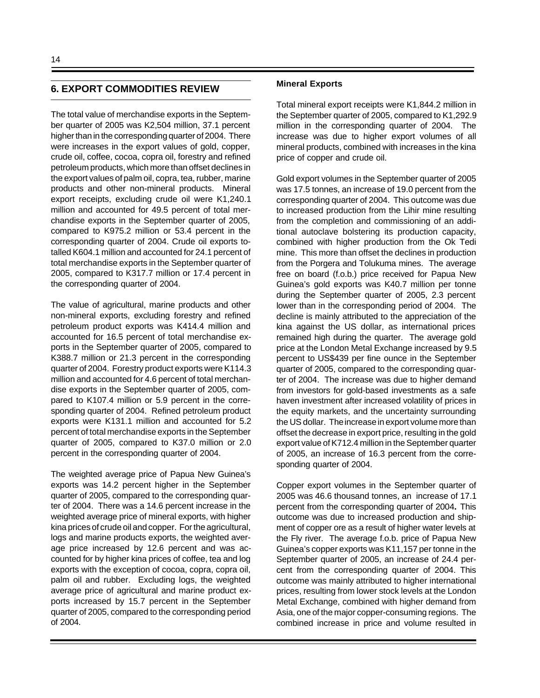## **6. EXPORT COMMODITIES REVIEW**

The total value of merchandise exports in the September quarter of 2005 was K2,504 million, 37.1 percent higher than in the corresponding quarter of 2004. There were increases in the export values of gold, copper, crude oil, coffee, cocoa, copra oil, forestry and refined petroleum products, which more than offset declines in the export values of palm oil, copra, tea, rubber, marine products and other non-mineral products. Mineral export receipts, excluding crude oil were K1,240.1 million and accounted for 49.5 percent of total merchandise exports in the September quarter of 2005, compared to K975.2 million or 53.4 percent in the corresponding quarter of 2004. Crude oil exports totalled K604.1 million and accounted for 24.1 percent of total merchandise exports in the September quarter of 2005, compared to K317.7 million or 17.4 percent in the corresponding quarter of 2004.

The value of agricultural, marine products and other non-mineral exports, excluding forestry and refined petroleum product exports was K414.4 million and accounted for 16.5 percent of total merchandise exports in the September quarter of 2005, compared to K388.7 million or 21.3 percent in the corresponding quarter of 2004. Forestry product exports were K114.3 million and accounted for 4.6 percent of total merchandise exports in the September quarter of 2005, compared to K107.4 million or 5.9 percent in the corresponding quarter of 2004. Refined petroleum product exports were K131.1 million and accounted for 5.2 percent of total merchandise exports in the September quarter of 2005, compared to K37.0 million or 2.0 percent in the corresponding quarter of 2004.

The weighted average price of Papua New Guinea's exports was 14.2 percent higher in the September quarter of 2005, compared to the corresponding quarter of 2004. There was a 14.6 percent increase in the weighted average price of mineral exports, with higher kina prices of crude oil and copper. For the agricultural, logs and marine products exports, the weighted average price increased by 12.6 percent and was accounted for by higher kina prices of coffee, tea and log exports with the exception of cocoa, copra, copra oil, palm oil and rubber. Excluding logs, the weighted average price of agricultural and marine product exports increased by 15.7 percent in the September quarter of 2005, compared to the corresponding period of 2004.

#### **Mineral Exports**

Total mineral export receipts were K1,844.2 million in the September quarter of 2005, compared to K1,292.9 million in the corresponding quarter of 2004. The increase was due to higher export volumes of all mineral products, combined with increases in the kina price of copper and crude oil.

Gold export volumes in the September quarter of 2005 was 17.5 tonnes, an increase of 19.0 percent from the corresponding quarter of 2004. This outcome was due to increased production from the Lihir mine resulting from the completion and commissioning of an additional autoclave bolstering its production capacity, combined with higher production from the Ok Tedi mine. This more than offset the declines in production from the Porgera and Tolukuma mines. The average free on board (f.o.b.) price received for Papua New Guinea's gold exports was K40.7 million per tonne during the September quarter of 2005, 2.3 percent lower than in the corresponding period of 2004. The decline is mainly attributed to the appreciation of the kina against the US dollar, as international prices remained high during the quarter. The average gold price at the London Metal Exchange increased by 9.5 percent to US\$439 per fine ounce in the September quarter of 2005, compared to the corresponding quarter of 2004. The increase was due to higher demand from investors for gold-based investments as a safe haven investment after increased volatility of prices in the equity markets, and the uncertainty surrounding the US dollar. The increase in export volume more than offset the decrease in export price, resulting in the gold export value of K712.4 million in the September quarter of 2005, an increase of 16.3 percent from the corresponding quarter of 2004.

Copper export volumes in the September quarter of 2005 was 46.6 thousand tonnes, an increase of 17.1 percent from the corresponding quarter of 2004**.** This outcome was due to increased production and shipment of copper ore as a result of higher water levels at the Fly river. The average f.o.b. price of Papua New Guinea's copper exports was K11,157 per tonne in the September quarter of 2005, an increase of 24.4 percent from the corresponding quarter of 2004. This outcome was mainly attributed to higher international prices, resulting from lower stock levels at the London Metal Exchange, combined with higher demand from Asia, one of the major copper-consuming regions. The combined increase in price and volume resulted in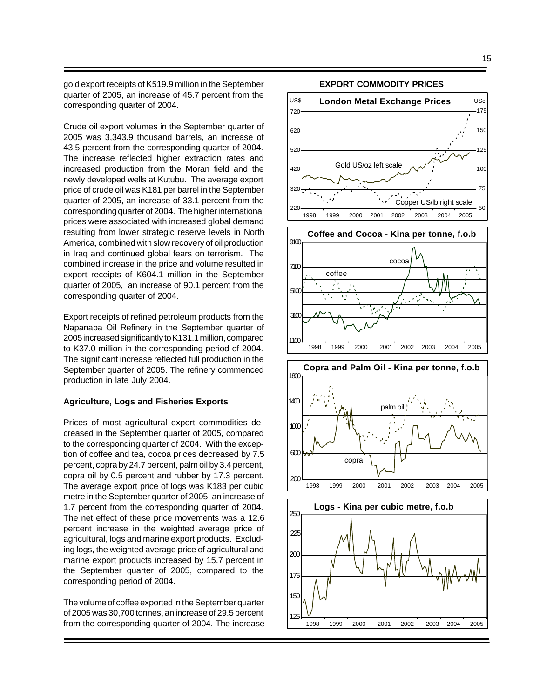gold export receipts of K519.9 million in the September quarter of 2005, an increase of 45.7 percent from the corresponding quarter of 2004.

Crude oil export volumes in the September quarter of 2005 was 3,343.9 thousand barrels, an increase of 43.5 percent from the corresponding quarter of 2004. The increase reflected higher extraction rates and increased production from the Moran field and the newly developed wells at Kutubu. The average export price of crude oil was K181 per barrel in the September quarter of 2005, an increase of 33.1 percent from the corresponding quarter of 2004. The higher international prices were associated with increased global demand resulting from lower strategic reserve levels in North America, combined with slow recovery of oil production in Iraq and continued global fears on terrorism. The combined increase in the price and volume resulted in export receipts of K604.1 million in the September quarter of 2005, an increase of 90.1 percent from the corresponding quarter of 2004.

Export receipts of refined petroleum products from the Napanapa Oil Refinery in the September quarter of 2005 increased significantly to K131.1 million, compared to K37.0 million in the corresponding period of 2004. The significant increase reflected full production in the September quarter of 2005. The refinery commenced production in late July 2004.

#### **Agriculture, Logs and Fisheries Exports**

Prices of most agricultural export commodities decreased in the September quarter of 2005, compared to the corresponding quarter of 2004. With the exception of coffee and tea, cocoa prices decreased by 7.5 percent, copra by 24.7 percent, palm oil by 3.4 percent, copra oil by 0.5 percent and rubber by 17.3 percent. The average export price of logs was K183 per cubic metre in the September quarter of 2005, an increase of 1.7 percent from the corresponding quarter of 2004. The net effect of these price movements was a 12.6 percent increase in the weighted average price of agricultural, logs and marine export products. Excluding logs, the weighted average price of agricultural and marine export products increased by 15.7 percent in the September quarter of 2005, compared to the corresponding period of 2004.

The volume of coffee exported in the September quarter of 2005 was 30,700 tonnes, an increase of 29.5 percent from the corresponding quarter of 2004. The increase



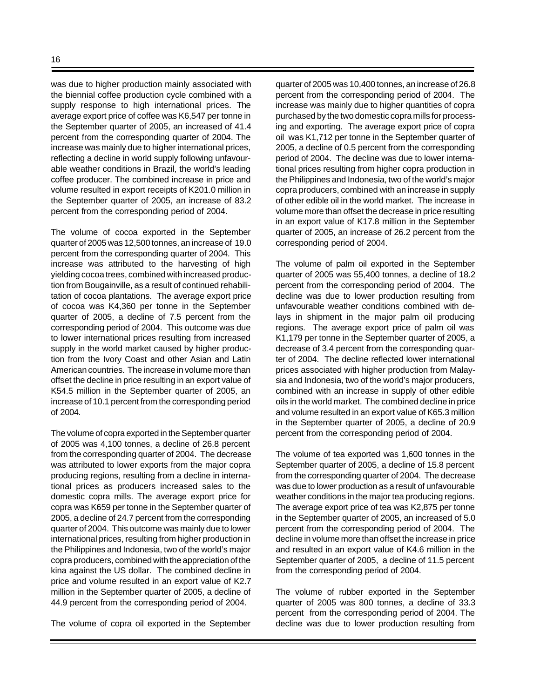was due to higher production mainly associated with the biennial coffee production cycle combined with a supply response to high international prices. The average export price of coffee was K6,547 per tonne in the September quarter of 2005, an increased of 41.4 percent from the corresponding quarter of 2004. The increase was mainly due to higher international prices, reflecting a decline in world supply following unfavourable weather conditions in Brazil, the world's leading coffee producer. The combined increase in price and volume resulted in export receipts of K201.0 million in the September quarter of 2005, an increase of 83.2 percent from the corresponding period of 2004.

The volume of cocoa exported in the September quarter of 2005 was 12,500 tonnes, an increase of 19.0 percent from the corresponding quarter of 2004. This increase was attributed to the harvesting of high yielding cocoa trees, combined with increased production from Bougainville, as a result of continued rehabilitation of cocoa plantations. The average export price of cocoa was K4,360 per tonne in the September quarter of 2005, a decline of 7.5 percent from the corresponding period of 2004. This outcome was due to lower international prices resulting from increased supply in the world market caused by higher production from the Ivory Coast and other Asian and Latin American countries. The increase in volume more than offset the decline in price resulting in an export value of K54.5 million in the September quarter of 2005, an increase of 10.1 percent from the corresponding period of 2004.

The volume of copra exported in the September quarter of 2005 was 4,100 tonnes, a decline of 26.8 percent from the corresponding quarter of 2004. The decrease was attributed to lower exports from the major copra producing regions, resulting from a decline in international prices as producers increased sales to the domestic copra mills. The average export price for copra was K659 per tonne in the September quarter of 2005, a decline of 24.7 percent from the corresponding quarter of 2004. This outcome was mainly due to lower international prices, resulting from higher production in the Philippines and Indonesia, two of the world's major copra producers, combined with the appreciation of the kina against the US dollar. The combined decline in price and volume resulted in an export value of K2.7 million in the September quarter of 2005, a decline of 44.9 percent from the corresponding period of 2004.

The volume of copra oil exported in the September

quarter of 2005 was 10,400 tonnes, an increase of 26.8 percent from the corresponding period of 2004. The increase was mainly due to higher quantities of copra purchased by the two domestic copra mills for processing and exporting. The average export price of copra oil was K1,712 per tonne in the September quarter of 2005, a decline of 0.5 percent from the corresponding period of 2004. The decline was due to lower international prices resulting from higher copra production in the Philippines and Indonesia, two of the world's major copra producers, combined with an increase in supply of other edible oil in the world market. The increase in volume more than offset the decrease in price resulting in an export value of K17.8 million in the September quarter of 2005, an increase of 26.2 percent from the corresponding period of 2004.

The volume of palm oil exported in the September quarter of 2005 was 55,400 tonnes, a decline of 18.2 percent from the corresponding period of 2004. The decline was due to lower production resulting from unfavourable weather conditions combined with delays in shipment in the major palm oil producing regions. The average export price of palm oil was K1,179 per tonne in the September quarter of 2005, a decrease of 3.4 percent from the corresponding quarter of 2004. The decline reflected lower international prices associated with higher production from Malaysia and Indonesia, two of the world's major producers, combined with an increase in supply of other edible oils in the world market. The combined decline in price and volume resulted in an export value of K65.3 million in the September quarter of 2005, a decline of 20.9 percent from the corresponding period of 2004.

The volume of tea exported was 1,600 tonnes in the September quarter of 2005, a decline of 15.8 percent from the corresponding quarter of 2004. The decrease was due to lower production as a result of unfavourable weather conditions in the major tea producing regions. The average export price of tea was K2,875 per tonne in the September quarter of 2005, an increased of 5.0 percent from the corresponding period of 2004. The decline in volume more than offset the increase in price and resulted in an export value of K4.6 million in the September quarter of 2005, a decline of 11.5 percent from the corresponding period of 2004.

The volume of rubber exported in the September quarter of 2005 was 800 tonnes, a decline of 33.3 percent from the corresponding period of 2004. The decline was due to lower production resulting from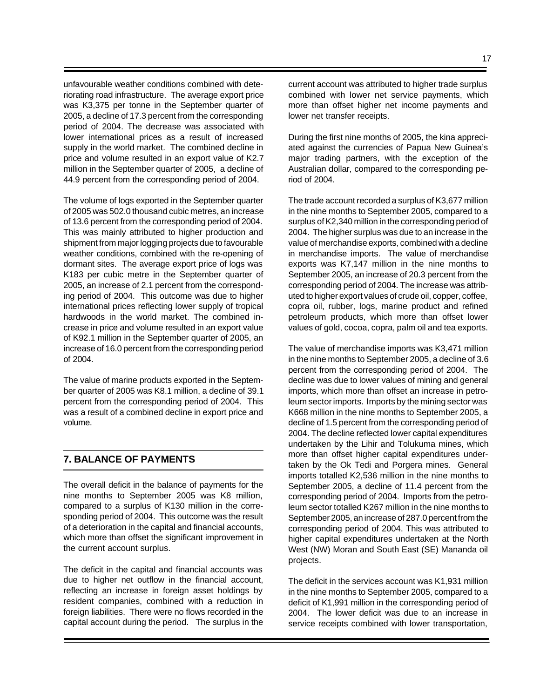unfavourable weather conditions combined with deteriorating road infrastructure. The average export price was K3,375 per tonne in the September quarter of 2005, a decline of 17.3 percent from the corresponding period of 2004. The decrease was associated with lower international prices as a result of increased supply in the world market. The combined decline in price and volume resulted in an export value of K2.7 million in the September quarter of 2005, a decline of 44.9 percent from the corresponding period of 2004.

The volume of logs exported in the September quarter of 2005 was 502.0 thousand cubic metres, an increase of 13.6 percent from the corresponding period of 2004. This was mainly attributed to higher production and shipment from major logging projects due to favourable weather conditions, combined with the re-opening of dormant sites. The average export price of logs was K183 per cubic metre in the September quarter of 2005, an increase of 2.1 percent from the corresponding period of 2004. This outcome was due to higher international prices reflecting lower supply of tropical hardwoods in the world market. The combined increase in price and volume resulted in an export value of K92.1 million in the September quarter of 2005, an increase of 16.0 percent from the corresponding period of 2004.

The value of marine products exported in the September quarter of 2005 was K8.1 million, a decline of 39.1 percent from the corresponding period of 2004. This was a result of a combined decline in export price and volume.

## **7. BALANCE OF PAYMENTS**

The overall deficit in the balance of payments for the nine months to September 2005 was K8 million, compared to a surplus of K130 million in the corresponding period of 2004. This outcome was the result of a deterioration in the capital and financial accounts, which more than offset the significant improvement in the current account surplus.

The deficit in the capital and financial accounts was due to higher net outflow in the financial account, reflecting an increase in foreign asset holdings by resident companies, combined with a reduction in foreign liabilities. There were no flows recorded in the capital account during the period. The surplus in the current account was attributed to higher trade surplus combined with lower net service payments, which more than offset higher net income payments and lower net transfer receipts.

During the first nine months of 2005, the kina appreciated against the currencies of Papua New Guinea's major trading partners, with the exception of the Australian dollar, compared to the corresponding period of 2004.

The trade account recorded a surplus of K3,677 million in the nine months to September 2005, compared to a surplus of K2,340 million in the corresponding period of 2004. The higher surplus was due to an increase in the value of merchandise exports, combined with a decline in merchandise imports. The value of merchandise exports was K7,147 million in the nine months to September 2005, an increase of 20.3 percent from the corresponding period of 2004. The increase was attributed to higher export values of crude oil, copper, coffee, copra oil, rubber, logs, marine product and refined petroleum products, which more than offset lower values of gold, cocoa, copra, palm oil and tea exports.

The value of merchandise imports was K3,471 million in the nine months to September 2005, a decline of 3.6 percent from the corresponding period of 2004. The decline was due to lower values of mining and general imports, which more than offset an increase in petroleum sector imports. Imports by the mining sector was K668 million in the nine months to September 2005, a decline of 1.5 percent from the corresponding period of 2004. The decline reflected lower capital expenditures undertaken by the Lihir and Tolukuma mines, which more than offset higher capital expenditures undertaken by the Ok Tedi and Porgera mines. General imports totalled K2,536 million in the nine months to September 2005, a decline of 11.4 percent from the corresponding period of 2004. Imports from the petroleum sector totalled K267 million in the nine months to September 2005, an increase of 287.0 percent from the corresponding period of 2004. This was attributed to higher capital expenditures undertaken at the North West (NW) Moran and South East (SE) Mananda oil projects.

The deficit in the services account was K1,931 million in the nine months to September 2005, compared to a deficit of K1,991 million in the corresponding period of 2004. The lower deficit was due to an increase in service receipts combined with lower transportation,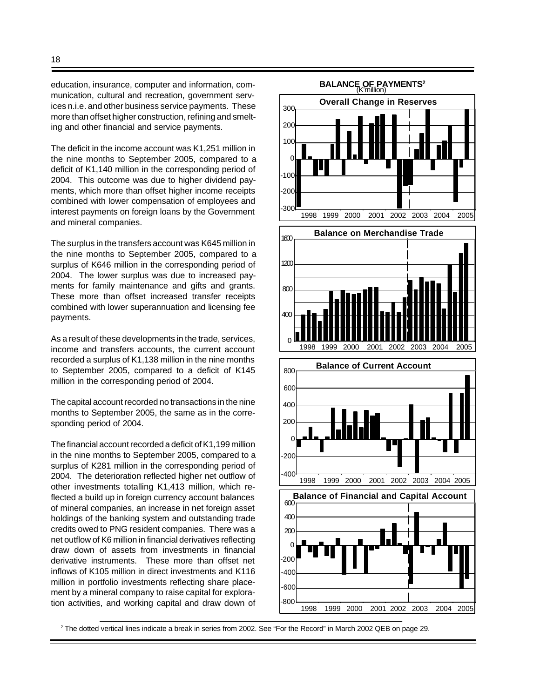education, insurance, computer and information, communication, cultural and recreation, government services n.i.e. and other business service payments. These more than offset higher construction, refining and smelting and other financial and service payments.

The deficit in the income account was K1,251 million in the nine months to September 2005, compared to a deficit of K1,140 million in the corresponding period of 2004. This outcome was due to higher dividend payments, which more than offset higher income receipts combined with lower compensation of employees and interest payments on foreign loans by the Government and mineral companies.

The surplus in the transfers account was K645 million in the nine months to September 2005, compared to a surplus of K646 million in the corresponding period of 2004. The lower surplus was due to increased payments for family maintenance and gifts and grants. These more than offset increased transfer receipts combined with lower superannuation and licensing fee payments.

As a result of these developments in the trade, services, income and transfers accounts, the current account recorded a surplus of K1,138 million in the nine months to September 2005, compared to a deficit of K145 million in the corresponding period of 2004.

The capital account recorded no transactions in the nine months to September 2005, the same as in the corresponding period of 2004.

The financial account recorded a deficit of K1,199 million in the nine months to September 2005, compared to a surplus of K281 million in the corresponding period of 2004. The deterioration reflected higher net outflow of other investments totalling K1,413 million, which reflected a build up in foreign currency account balances of mineral companies, an increase in net foreign asset holdings of the banking system and outstanding trade credits owed to PNG resident companies. There was a net outflow of K6 million in financial derivatives reflecting draw down of assets from investments in financial derivative instruments. These more than offset net inflows of K105 million in direct investments and K116 million in portfolio investments reflecting share placement by a mineral company to raise capital for exploration activities, and working capital and draw down of



2 The dotted vertical lines indicate a break in series from 2002. See "For the Record" in March 2002 QEB on page 29.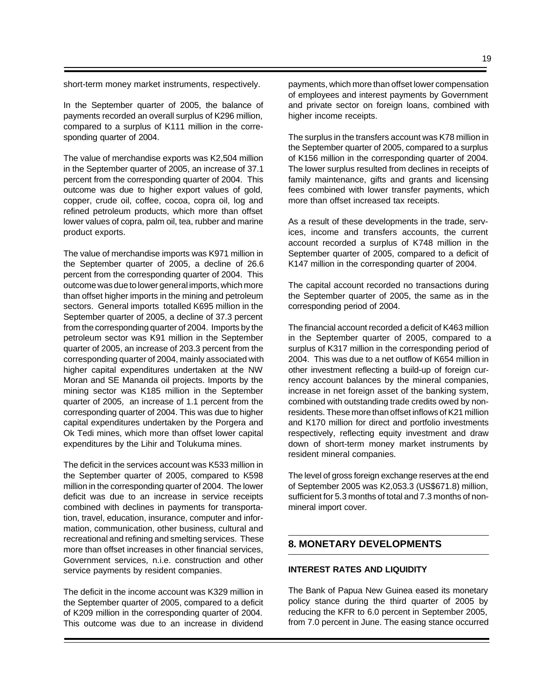short-term money market instruments, respectively.

In the September quarter of 2005, the balance of payments recorded an overall surplus of K296 million, compared to a surplus of K111 million in the corresponding quarter of 2004.

The value of merchandise exports was K2,504 million in the September quarter of 2005, an increase of 37.1 percent from the corresponding quarter of 2004. This outcome was due to higher export values of gold, copper, crude oil, coffee, cocoa, copra oil, log and refined petroleum products, which more than offset lower values of copra, palm oil, tea, rubber and marine product exports.

The value of merchandise imports was K971 million in the September quarter of 2005, a decline of 26.6 percent from the corresponding quarter of 2004. This outcome was due to lower general imports, which more than offset higher imports in the mining and petroleum sectors. General imports totalled K695 million in the September quarter of 2005, a decline of 37.3 percent from the corresponding quarter of 2004. Imports by the petroleum sector was K91 million in the September quarter of 2005, an increase of 203.3 percent from the corresponding quarter of 2004, mainly associated with higher capital expenditures undertaken at the NW Moran and SE Mananda oil projects. Imports by the mining sector was K185 million in the September quarter of 2005, an increase of 1.1 percent from the corresponding quarter of 2004. This was due to higher capital expenditures undertaken by the Porgera and Ok Tedi mines, which more than offset lower capital expenditures by the Lihir and Tolukuma mines.

The deficit in the services account was K533 million in the September quarter of 2005, compared to K598 million in the corresponding quarter of 2004. The lower deficit was due to an increase in service receipts combined with declines in payments for transportation, travel, education, insurance, computer and information, communication, other business, cultural and recreational and refining and smelting services. These more than offset increases in other financial services, Government services, n.i.e. construction and other service payments by resident companies.

The deficit in the income account was K329 million in the September quarter of 2005, compared to a deficit of K209 million in the corresponding quarter of 2004. This outcome was due to an increase in dividend payments, which more than offset lower compensation of employees and interest payments by Government and private sector on foreign loans, combined with higher income receipts.

The surplus in the transfers account was K78 million in the September quarter of 2005, compared to a surplus of K156 million in the corresponding quarter of 2004. The lower surplus resulted from declines in receipts of family maintenance, gifts and grants and licensing fees combined with lower transfer payments, which more than offset increased tax receipts.

As a result of these developments in the trade, services, income and transfers accounts, the current account recorded a surplus of K748 million in the September quarter of 2005, compared to a deficit of K147 million in the corresponding quarter of 2004.

The capital account recorded no transactions during the September quarter of 2005, the same as in the corresponding period of 2004.

The financial account recorded a deficit of K463 million in the September quarter of 2005, compared to a surplus of K317 million in the corresponding period of 2004. This was due to a net outflow of K654 million in other investment reflecting a build-up of foreign currency account balances by the mineral companies, increase in net foreign asset of the banking system, combined with outstanding trade credits owed by nonresidents. These more than offset inflows of K21 million and K170 million for direct and portfolio investments respectively, reflecting equity investment and draw down of short-term money market instruments by resident mineral companies.

The level of gross foreign exchange reserves at the end of September 2005 was K2,053.3 (US\$671.8) million, sufficient for 5.3 months of total and 7.3 months of nonmineral import cover.

## **8. MONETARY DEVELOPMENTS**

#### **INTEREST RATES AND LIQUIDITY**

The Bank of Papua New Guinea eased its monetary policy stance during the third quarter of 2005 by reducing the KFR to 6.0 percent in September 2005, from 7.0 percent in June. The easing stance occurred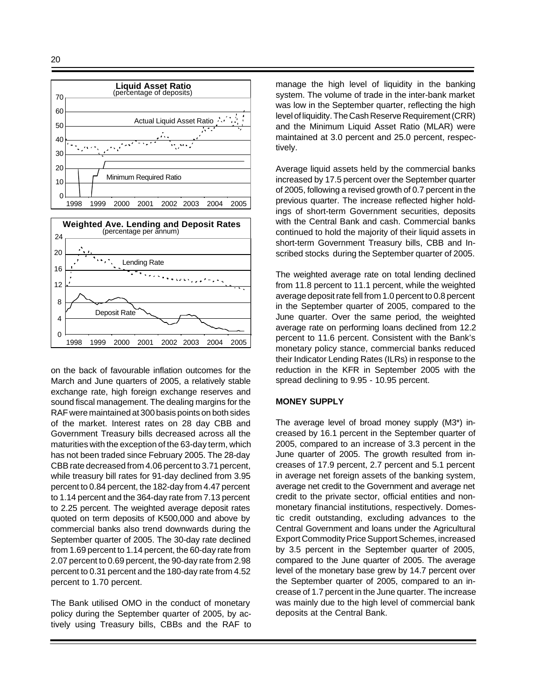



on the back of favourable inflation outcomes for the March and June quarters of 2005, a relatively stable exchange rate, high foreign exchange reserves and sound fiscal management. The dealing margins for the RAF were maintained at 300 basis points on both sides of the market. Interest rates on 28 day CBB and Government Treasury bills decreased across all the maturities with the exception of the 63-day term, which has not been traded since February 2005. The 28-day CBB rate decreased from 4.06 percent to 3.71 percent, while treasury bill rates for 91-day declined from 3.95 percent to 0.84 percent, the 182-day from 4.47 percent to 1.14 percent and the 364-day rate from 7.13 percent to 2.25 percent. The weighted average deposit rates quoted on term deposits of K500,000 and above by commercial banks also trend downwards during the September quarter of 2005. The 30-day rate declined from 1.69 percent to 1.14 percent, the 60-day rate from 2.07 percent to 0.69 percent, the 90-day rate from 2.98 percent to 0.31 percent and the 180-day rate from 4.52 percent to 1.70 percent.

The Bank utilised OMO in the conduct of monetary policy during the September quarter of 2005, by actively using Treasury bills, CBBs and the RAF to manage the high level of liquidity in the banking system. The volume of trade in the inter-bank market was low in the September quarter, reflecting the high level of liquidity. The Cash Reserve Requirement (CRR) and the Minimum Liquid Asset Ratio (MLAR) were maintained at 3.0 percent and 25.0 percent, respectively.

Average liquid assets held by the commercial banks increased by 17.5 percent over the September quarter of 2005, following a revised growth of 0.7 percent in the previous quarter. The increase reflected higher holdings of short-term Government securities, deposits with the Central Bank and cash. Commercial banks continued to hold the majority of their liquid assets in short-term Government Treasury bills, CBB and Inscribed stocks during the September quarter of 2005.

The weighted average rate on total lending declined from 11.8 percent to 11.1 percent, while the weighted average deposit rate fell from 1.0 percent to 0.8 percent in the September quarter of 2005, compared to the June quarter. Over the same period, the weighted average rate on performing loans declined from 12.2 percent to 11.6 percent. Consistent with the Bank's monetary policy stance, commercial banks reduced their Indicator Lending Rates (ILRs) in response to the reduction in the KFR in September 2005 with the spread declining to 9.95 - 10.95 percent.

#### **MONEY SUPPLY**

The average level of broad money supply (M3\*) increased by 16.1 percent in the September quarter of 2005, compared to an increase of 3.3 percent in the June quarter of 2005. The growth resulted from increases of 17.9 percent, 2.7 percent and 5.1 percent in average net foreign assets of the banking system, average net credit to the Government and average net credit to the private sector, official entities and nonmonetary financial institutions, respectively. Domestic credit outstanding, excluding advances to the Central Government and loans under the Agricultural Export Commodity Price Support Schemes, increased by 3.5 percent in the September quarter of 2005, compared to the June quarter of 2005. The average level of the monetary base grew by 14.7 percent over the September quarter of 2005, compared to an increase of 1.7 percent in the June quarter. The increase was mainly due to the high level of commercial bank deposits at the Central Bank.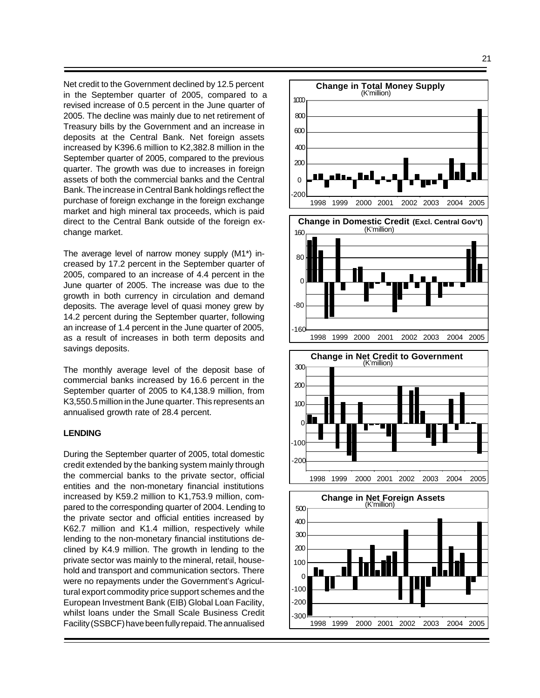Net credit to the Government declined by 12.5 percent in the September quarter of 2005, compared to a revised increase of 0.5 percent in the June quarter of 2005. The decline was mainly due to net retirement of Treasury bills by the Government and an increase in deposits at the Central Bank. Net foreign assets increased by K396.6 million to K2,382.8 million in the September quarter of 2005, compared to the previous quarter. The growth was due to increases in foreign assets of both the commercial banks and the Central Bank. The increase in Central Bank holdings reflect the purchase of foreign exchange in the foreign exchange market and high mineral tax proceeds, which is paid direct to the Central Bank outside of the foreign exchange market.

The average level of narrow money supply (M1\*) increased by 17.2 percent in the September quarter of 2005, compared to an increase of 4.4 percent in the June quarter of 2005. The increase was due to the growth in both currency in circulation and demand deposits. The average level of quasi money grew by 14.2 percent during the September quarter, following an increase of 1.4 percent in the June quarter of 2005, as a result of increases in both term deposits and savings deposits.

The monthly average level of the deposit base of commercial banks increased by 16.6 percent in the September quarter of 2005 to K4,138.9 million, from K3,550.5 million in the June quarter. This represents an annualised growth rate of 28.4 percent.

#### **LENDING**

During the September quarter of 2005, total domestic credit extended by the banking system mainly through the commercial banks to the private sector, official entities and the non-monetary financial institutions increased by K59.2 million to K1,753.9 million, compared to the corresponding quarter of 2004. Lending to the private sector and official entities increased by K62.7 million and K1.4 million, respectively while lending to the non-monetary financial institutions declined by K4.9 million. The growth in lending to the private sector was mainly to the mineral, retail, household and transport and communication sectors. There were no repayments under the Government's Agricultural export commodity price support schemes and the European Investment Bank (EIB) Global Loan Facility, whilst loans under the Small Scale Business Credit Facility (SSBCF) have been fully repaid. The annualised



-100 -200 1998 1999 2000 2001 2002 2003 2004 2005  $-300$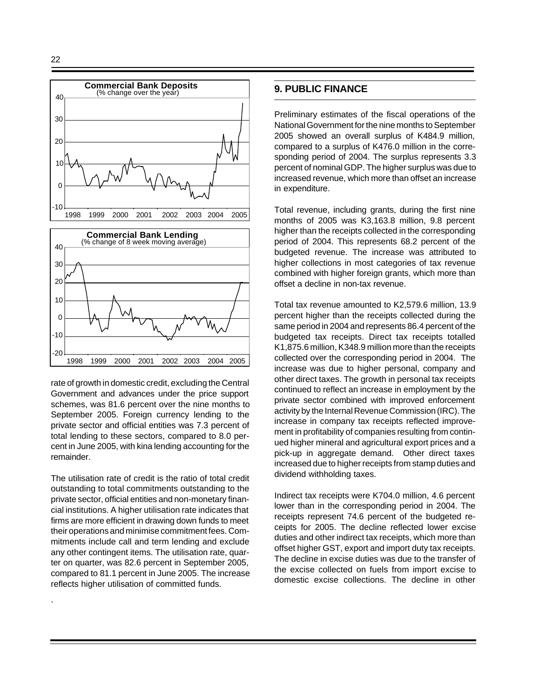`



rate of growth in domestic credit, excluding the Central Government and advances under the price support schemes, was 81.6 percent over the nine months to September 2005. Foreign currency lending to the private sector and official entities was 7.3 percent of total lending to these sectors, compared to 8.0 percent in June 2005, with kina lending accounting for the remainder.

The utilisation rate of credit is the ratio of total credit outstanding to total commitments outstanding to the private sector, official entities and non-monetary financial institutions. A higher utilisation rate indicates that firms are more efficient in drawing down funds to meet their operations and minimise commitment fees. Commitments include call and term lending and exclude any other contingent items. The utilisation rate, quarter on quarter, was 82.6 percent in September 2005, compared to 81.1 percent in June 2005. The increase reflects higher utilisation of committed funds.

## **9. PUBLIC FINANCE**

Preliminary estimates of the fiscal operations of the National Government for the nine months to September 2005 showed an overall surplus of K484.9 million, compared to a surplus of K476.0 million in the corresponding period of 2004. The surplus represents 3.3 percent of nominal GDP. The higher surplus was due to increased revenue, which more than offset an increase in expenditure.

Total revenue, including grants, during the first nine months of 2005 was K3,163.8 million, 9.8 percent higher than the receipts collected in the corresponding period of 2004. This represents 68.2 percent of the budgeted revenue. The increase was attributed to higher collections in most categories of tax revenue combined with higher foreign grants, which more than offset a decline in non-tax revenue.

Total tax revenue amounted to K2,579.6 million, 13.9 percent higher than the receipts collected during the same period in 2004 and represents 86.4 percent of the budgeted tax receipts. Direct tax receipts totalled K1,875.6 million, K348.9 million more than the receipts collected over the corresponding period in 2004. The increase was due to higher personal, company and other direct taxes. The growth in personal tax receipts continued to reflect an increase in employment by the private sector combined with improved enforcement activity by the Internal Revenue Commission (IRC). The increase in company tax receipts reflected improvement in profitability of companies resulting from continued higher mineral and agricultural export prices and a pick-up in aggregate demand. Other direct taxes increased due to higher receipts from stamp duties and dividend withholding taxes.

Indirect tax receipts were K704.0 million, 4.6 percent lower than in the corresponding period in 2004. The receipts represent 74.6 percent of the budgeted receipts for 2005. The decline reflected lower excise duties and other indirect tax receipts, which more than offset higher GST, export and import duty tax receipts. The decline in excise duties was due to the transfer of the excise collected on fuels from import excise to domestic excise collections. The decline in other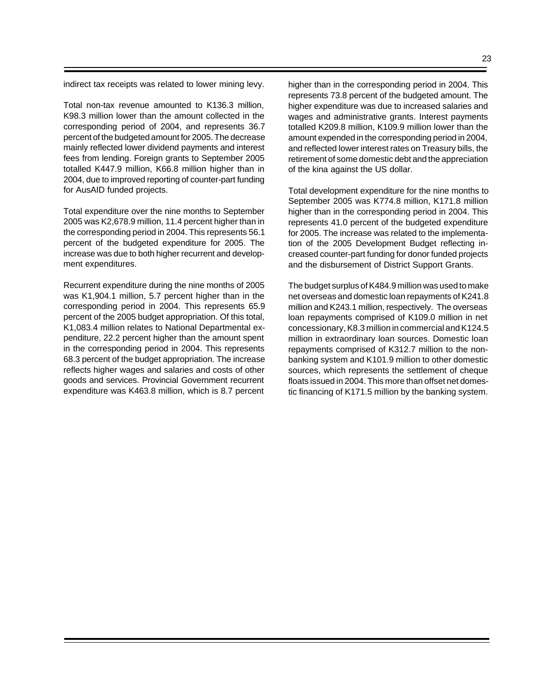indirect tax receipts was related to lower mining levy.

Total non-tax revenue amounted to K136.3 million, K98.3 million lower than the amount collected in the corresponding period of 2004, and represents 36.7 percent of the budgeted amount for 2005. The decrease mainly reflected lower dividend payments and interest fees from lending. Foreign grants to September 2005 totalled K447.9 million, K66.8 million higher than in 2004, due to improved reporting of counter-part funding for AusAID funded projects.

Total expenditure over the nine months to September 2005 was K2,678.9 million, 11.4 percent higher than in the corresponding period in 2004. This represents 56.1 percent of the budgeted expenditure for 2005. The increase was due to both higher recurrent and development expenditures.

Recurrent expenditure during the nine months of 2005 was K1,904.1 million, 5.7 percent higher than in the corresponding period in 2004. This represents 65.9 percent of the 2005 budget appropriation. Of this total, K1,083.4 million relates to National Departmental expenditure, 22.2 percent higher than the amount spent in the corresponding period in 2004. This represents 68.3 percent of the budget appropriation. The increase reflects higher wages and salaries and costs of other goods and services. Provincial Government recurrent expenditure was K463.8 million, which is 8.7 percent

higher than in the corresponding period in 2004. This represents 73.8 percent of the budgeted amount. The higher expenditure was due to increased salaries and wages and administrative grants. Interest payments totalled K209.8 million, K109.9 million lower than the amount expended in the corresponding period in 2004, and reflected lower interest rates on Treasury bills, the retirement of some domestic debt and the appreciation of the kina against the US dollar.

Total development expenditure for the nine months to September 2005 was K774.8 million, K171.8 million higher than in the corresponding period in 2004. This represents 41.0 percent of the budgeted expenditure for 2005. The increase was related to the implementation of the 2005 Development Budget reflecting increased counter-part funding for donor funded projects and the disbursement of District Support Grants.

The budget surplus of K484.9 million was used to make net overseas and domestic loan repayments of K241.8 million and K243.1 million, respectively. The overseas loan repayments comprised of K109.0 million in net concessionary, K8.3 million in commercial and K124.5 million in extraordinary loan sources. Domestic loan repayments comprised of K312.7 million to the nonbanking system and K101.9 million to other domestic sources, which represents the settlement of cheque floats issued in 2004. This more than offset net domestic financing of K171.5 million by the banking system.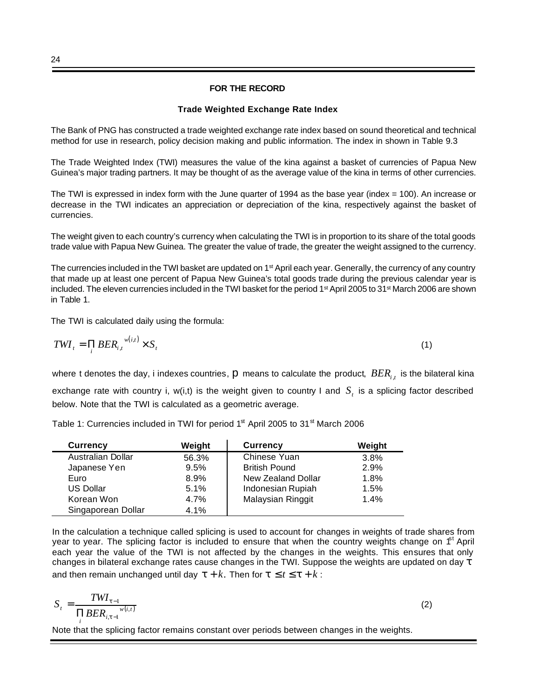#### **FOR THE RECORD**

#### **Trade Weighted Exchange Rate Index**

The Bank of PNG has constructed a trade weighted exchange rate index based on sound theoretical and technical method for use in research, policy decision making and public information. The index in shown in Table 9.3

The Trade Weighted Index (TWI) measures the value of the kina against a basket of currencies of Papua New Guinea's major trading partners. It may be thought of as the average value of the kina in terms of other currencies.

The TWI is expressed in index form with the June quarter of 1994 as the base year (index = 100). An increase or decrease in the TWI indicates an appreciation or depreciation of the kina, respectively against the basket of currencies.

The weight given to each country's currency when calculating the TWI is in proportion to its share of the total goods trade value with Papua New Guinea. The greater the value of trade, the greater the weight assigned to the currency.

The currencies included in the TWI basket are updated on 1<sup>st</sup> April each year. Generally, the currency of any country that made up at least one percent of Papua New Guinea's total goods trade during the previous calendar year is included. The eleven currencies included in the TWI basket for the period 1<sup>st</sup> April 2005 to 31<sup>st</sup> March 2006 are shown in Table 1.

The TWI is calculated daily using the formula:

$$
TWI_t = \prod_i BER_{i,t}^{w(i,t)} \times S_t
$$
 (1)

where  ${\rm t}$  denotes the day,  ${\rm i}$  indexes countries,  ${\sf p}$  means to calculate the product,  $\mathit{BER}_{i,t}$  is the bilateral kina exchange rate with country i, w(i,t) is the weight given to country I and  $S<sub>t</sub>$  is a splicing factor described below. Note that the TWI is calculated as a geometric average.

Table 1: Currencies included in TWI for period  $1<sup>st</sup>$  April 2005 to 31 $<sup>st</sup>$  March 2006</sup>

| <b>Currency</b>    | Weight | <b>Currency</b>      | Weight |
|--------------------|--------|----------------------|--------|
| Australian Dollar  | 56.3%  | Chinese Yuan         | 3.8%   |
| Japanese Yen       | 9.5%   | <b>British Pound</b> | 2.9%   |
| Euro               | 8.9%   | New Zealand Dollar   | 1.8%   |
| US Dollar          | 5.1%   | Indonesian Rupiah    | 1.5%   |
| Korean Won         | 4.7%   | Malaysian Ringgit    | 1.4%   |
| Singaporean Dollar | 4.1%   |                      |        |

In the calculation a technique called splicing is used to account for changes in weights of trade shares from year to year. The splicing factor is included to ensure that when the country weights change on  $f<sup>st</sup>$  April each year the value of the TWI is not affected by the changes in the weights. This ensures that only changes in bilateral exchange rates cause changes in the TWI. Suppose the weights are updated on day *t* and then remain unchanged until day  $t + k$ . Then for  $t \le t \le t + k$ :

$$
S_t = \frac{T W I_{t-1}}{\prod BER_{i,t-1}}^{\quad w(i,t)}
$$

*i* Note that the splicing factor remains constant over periods between changes in the weights.

(2)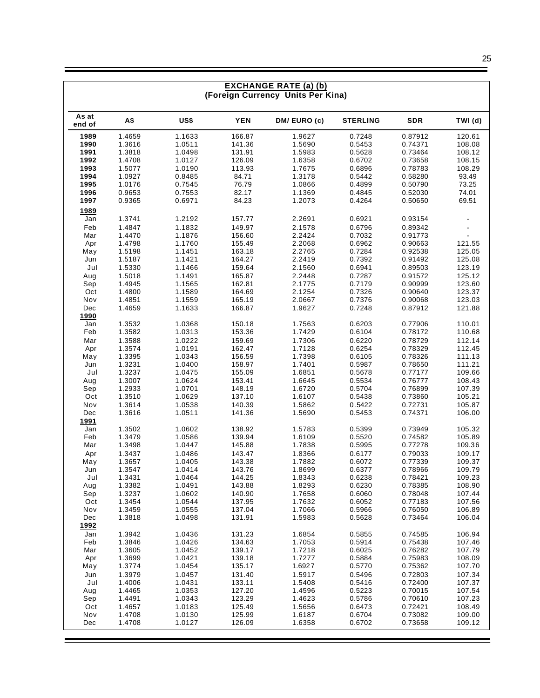| <b>EXCHANGE RATE (a) (b)</b> |                                   |                  |                  |                  |                  |                    |                  |  |
|------------------------------|-----------------------------------|------------------|------------------|------------------|------------------|--------------------|------------------|--|
|                              | (Foreign Currency Units Per Kina) |                  |                  |                  |                  |                    |                  |  |
| As at<br>end of              | A\$                               | US\$             | <b>YEN</b>       | DM/EURO(c)       | <b>STERLING</b>  | <b>SDR</b>         | TWI (d)          |  |
| 1989                         | 1.4659                            | 1.1633           | 166.87           | 1.9627           | 0.7248           | 0.87912            | 120.61           |  |
| 1990                         | 1.3616                            | 1.0511           | 141.36           | 1.5690           | 0.5453           | 0.74371            | 108.08           |  |
| 1991                         | 1.3818                            | 1.0498           | 131.91           | 1.5983           | 0.5628           | 0.73464            | 108.12           |  |
| 1992                         | 1.4708                            | 1.0127           | 126.09           | 1.6358           | 0.6702           | 0.73658            | 108.15           |  |
| 1993                         | 1.5077                            | 1.0190           | 113.93           | 1.7675           | 0.6896           | 0.78783            | 108.29           |  |
| 1994                         | 1.0927                            | 0.8485           | 84.71            | 1.3178           | 0.5442           | 0.58280            | 93.49            |  |
| 1995                         | 1.0176                            | 0.7545           | 76.79            | 1.0866           | 0.4899           | 0.50790            | 73.25            |  |
| 1996<br>1997                 | 0.9653<br>0.9365                  | 0.7553<br>0.6971 | 82.17<br>84.23   | 1.1369<br>1.2073 | 0.4845<br>0.4264 | 0.52030<br>0.50650 | 74.01<br>69.51   |  |
|                              |                                   |                  |                  |                  |                  |                    |                  |  |
| 1989<br>Jan                  | 1.3741                            | 1.2192           | 157.77           | 2.2691           | 0.6921           | 0.93154            |                  |  |
| Feb                          | 1.4847                            | 1.1832           | 149.97           | 2.1578           | 0.6796           | 0.89342            |                  |  |
| Mar                          | 1.4470                            | 1.1876           | 156.60           | 2.2424           | 0.7032           | 0.91773            |                  |  |
| Apr                          | 1.4798                            | 1.1760           | 155.49           | 2.2068           | 0.6962           | 0.90663            | 121.55           |  |
| May                          | 1.5198                            | 1.1451           | 163.18           | 2.2765           | 0.7284           | 0.92538            | 125.05           |  |
| Jun                          | 1.5187                            | 1.1421           | 164.27           | 2.2419           | 0.7392           | 0.91492            | 125.08           |  |
| Jul                          | 1.5330                            | 1.1466           | 159.64           | 2.1560           | 0.6941           | 0.89503            | 123.19           |  |
| Aug                          | 1.5018                            | 1.1491           | 165.87           | 2.2448           | 0.7287           | 0.91572            | 125.12           |  |
| Sep                          | 1.4945                            | 1.1565           | 162.81           | 2.1775           | 0.7179           | 0.90999            | 123.60           |  |
| Oct                          | 1.4800                            | 1.1589           | 164.69           | 2.1254           | 0.7326           | 0.90640            | 123.37           |  |
| Nov                          | 1.4851                            | 1.1559           | 165.19           | 2.0667           | 0.7376           | 0.90068            | 123.03           |  |
| Dec                          | 1.4659                            | 1.1633           | 166.87           | 1.9627           | 0.7248           | 0.87912            | 121.88           |  |
| 1990<br>Jan                  | 1.3532                            | 1.0368           | 150.18           | 1.7563           | 0.6203           | 0.77906            | 110.01           |  |
| Feb                          | 1.3582                            | 1.0313           | 153.36           | 1.7429           | 0.6104           | 0.78172            | 110.68           |  |
| Mar                          | 1.3588                            | 1.0222           | 159.69           | 1.7306           | 0.6220           | 0.78729            | 112.14           |  |
| Apr                          | 1.3574                            | 1.0191           | 162.47           | 1.7128           | 0.6254           | 0.78329            | 112.45           |  |
| May                          | 1.3395                            | 1.0343           | 156.59           | 1.7398           | 0.6105           | 0.78326            | 111.13           |  |
| Jun                          | 1.3231                            | 1.0400           | 158.97           | 1.7401           | 0.5987           | 0.78650            | 111.21           |  |
| Jul                          | 1.3237                            | 1.0475           | 155.09           | 1.6851           | 0.5678           | 0.77177            | 109.66           |  |
| Aug                          | 1.3007                            | 1.0624           | 153.41           | 1.6645           | 0.5534           | 0.76777            | 108.43           |  |
| Sep                          | 1.2933                            | 1.0701           | 148.19           | 1.6720           | 0.5704           | 0.76899            | 107.39           |  |
| Oct                          | 1.3510                            | 1.0629           | 137.10           | 1.6107           | 0.5438           | 0.73860            | 105.21           |  |
| Nov                          | 1.3614                            | 1.0538           | 140.39           | 1.5862           | 0.5422           | 0.72731            | 105.87           |  |
| Dec                          | 1.3616                            | 1.0511           | 141.36           | 1.5690           | 0.5453           | 0.74371            | 106.00           |  |
| <u>1991</u>                  |                                   |                  |                  |                  |                  |                    |                  |  |
| Jan<br>Feb                   | 1.3502<br>1.3479                  | 1.0602<br>1.0586 | 138.92<br>139.94 | 1.5783<br>1.6109 | 0.5399<br>0.5520 | 0.73949<br>0.74582 | 105.32<br>105.89 |  |
| Mar                          | 1.3498                            | 1.0447           | 145.88           | 1.7838           | 0.5995           | 0.77278            | 109.36           |  |
| Apr                          | 1.3437                            | 1.0486           | 143.47           | 1.8366           | 0.6177           | 0.79033            | 109.17           |  |
| May                          | 1.3657                            | 1.0405           | 143.38           | 1.7882           | 0.6072           | 0.77339            | 109.37           |  |
| Jun                          | 1.3547                            | 1.0414           | 143.76           | 1.8699           | 0.6377           | 0.78966            | 109.79           |  |
| Jul                          | 1.3431                            | 1.0464           | 144.25           | 1.8343           | 0.6238           | 0.78421            | 109.23           |  |
| Aug                          | 1.3382                            | 1.0491           | 143.88           | 1.8293           | 0.6230           | 0.78385            | 108.90           |  |
| Sep                          | 1.3237                            | 1.0602           | 140.90           | 1.7658           | 0.6060           | 0.78048            | 107.44           |  |
| Oct                          | 1.3454                            | 1.0544           | 137.95           | 1.7632           | 0.6052           | 0.77183            | 107.56           |  |
| Nov                          | 1.3459                            | 1.0555           | 137.04           | 1.7066           | 0.5966           | 0.76050            | 106.89           |  |
| Dec                          | 1.3818                            | 1.0498           | 131.91           | 1.5983           | 0.5628           | 0.73464            | 106.04           |  |
| 1992<br>Jan                  | 1.3942                            | 1.0436           | 131.23           | 1.6854           | 0.5855           | 0.74585            | 106.94           |  |
| Feb                          | 1.3846                            | 1.0426           | 134.63           | 1.7053           | 0.5914           | 0.75438            | 107.46           |  |
| Mar                          | 1.3605                            | 1.0452           | 139.17           | 1.7218           | 0.6025           | 0.76282            | 107.79           |  |
| Apr                          | 1.3699                            | 1.0421           | 139.18           | 1.7277           | 0.5884           | 0.75983            | 108.09           |  |
| May                          | 1.3774                            | 1.0454           | 135.17           | 1.6927           | 0.5770           | 0.75362            | 107.70           |  |
| Jun                          | 1.3979                            | 1.0457           | 131.40           | 1.5917           | 0.5496           | 0.72803            | 107.34           |  |
| Jul                          | 1.4006                            | 1.0431           | 133.11           | 1.5408           | 0.5416           | 0.72400            | 107.37           |  |
| Aug                          | 1.4465                            | 1.0353           | 127.20           | 1.4596           | 0.5223           | 0.70015            | 107.54           |  |
| Sep                          | 1.4491                            | 1.0343           | 123.29           | 1.4623           | 0.5786           | 0.70610            | 107.23           |  |
| Oct                          | 1.4657                            | 1.0183           | 125.49           | 1.5656           | 0.6473           | 0.72421            | 108.49           |  |
| Nov<br>Dec                   | 1.4708<br>1.4708                  | 1.0130<br>1.0127 | 125.99<br>126.09 | 1.6187<br>1.6358 | 0.6704<br>0.6702 | 0.73082<br>0.73658 | 109.00<br>109.12 |  |
|                              |                                   |                  |                  |                  |                  |                    |                  |  |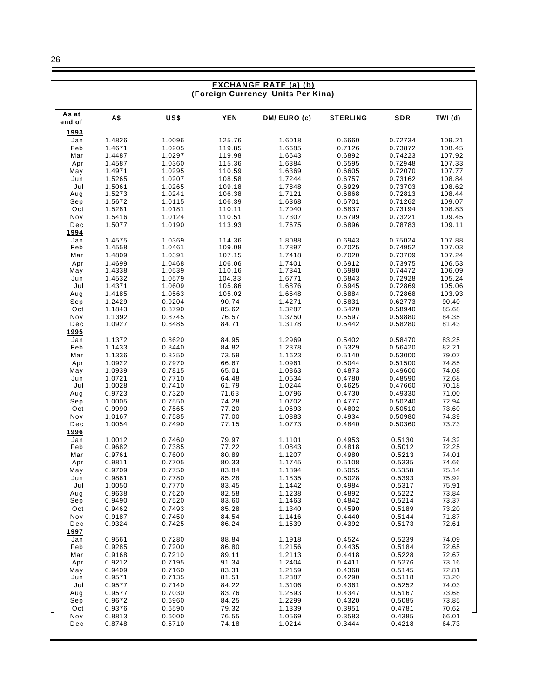|                                   |                  |                  |                  | <b>EXCHANGE RATE (a) (b)</b> |                  |                    |                  |
|-----------------------------------|------------------|------------------|------------------|------------------------------|------------------|--------------------|------------------|
| (Foreign Currency Units Per Kina) |                  |                  |                  |                              |                  |                    |                  |
| As at                             | A\$              | US\$             | <b>YEN</b>       | DM/EURO(c)                   | <b>STERLING</b>  | SDR                | TWI (d)          |
| end of                            |                  |                  |                  |                              |                  |                    |                  |
| 1993<br>Jan                       | 1.4826           | 1.0096           | 125.76           | 1.6018                       | 0.6660           | 0.72734            | 109.21           |
| Feb                               | 1.4671           | 1.0205           | 119.85           | 1.6685                       | 0.7126           | 0.73872            | 108.45           |
| Mar                               | 1.4487           | 1.0297           | 119.98           | 1.6643                       | 0.6892           | 0.74223            | 107.92           |
| Apr                               | 1.4587           | 1.0360           | 115.36           | 1.6384                       | 0.6595           | 0.72948            | 107.33           |
| May                               | 1.4971           | 1.0295           | 110.59           | 1.6369                       | 0.6605           | 0.72070            | 107.77           |
| Jun                               | 1.5265           | 1.0207           | 108.58           | 1.7244                       | 0.6757           | 0.73162            | 108.84           |
| Jul                               | 1.5061<br>1.5273 | 1.0265<br>1.0241 | 109.18<br>106.38 | 1.7848<br>1.7121             | 0.6929<br>0.6868 | 0.73703<br>0.72813 | 108.62<br>108.44 |
| Aug<br>Sep                        | 1.5672           | 1.0115           | 106.39           | 1.6368                       | 0.6701           | 0.71262            | 109.07           |
| Oct                               | 1.5281           | 1.0181           | 110.11           | 1.7040                       | 0.6837           | 0.73194            | 108.83           |
| Nov                               | 1.5416           | 1.0124           | 110.51           | 1.7307                       | 0.6799           | 0.73221            | 109.45           |
| Dec                               | 1.5077           | 1.0190           | 113.93           | 1.7675                       | 0.6896           | 0.78783            | 109.11           |
| 1994                              |                  |                  |                  |                              |                  |                    |                  |
| Jan<br>Feb                        | 1.4575<br>1.4558 | 1.0369<br>1.0461 | 114.36<br>109.08 | 1.8088<br>1.7897             | 0.6943<br>0.7025 | 0.75024<br>0.74952 | 107.88<br>107.03 |
| Mar                               | 1.4809           | 1.0391           | 107.15           | 1.7418                       | 0.7020           | 0.73709            | 107.24           |
| Apr                               | 1.4699           | 1.0468           | 106.06           | 1.7401                       | 0.6912           | 0.73975            | 106.53           |
| May                               | 1.4338           | 1.0539           | 110.16           | 1.7341                       | 0.6980           | 0.74472            | 106.09           |
| Jun                               | 1.4532           | 1.0579           | 104.33           | 1.6771                       | 0.6843           | 0.72928            | 105.24           |
| Jul                               | 1.4371           | 1.0609           | 105.86           | 1.6876                       | 0.6945           | 0.72869            | 105.06<br>103.93 |
| Aug<br>Sep                        | 1.4185<br>1.2429 | 1.0563<br>0.9204 | 105.02<br>90.74  | 1.6648<br>1.4271             | 0.6884<br>0.5831 | 0.72868<br>0.62773 | 90.40            |
| Oct                               | 1.1843           | 0.8790           | 85.62            | 1.3287                       | 0.5420           | 0.58940            | 85.68            |
| Nov                               | 1.1392           | 0.8745           | 76.57            | 1.3750                       | 0.5597           | 0.59880            | 84.35            |
| Dec                               | 1.0927           | 0.8485           | 84.71            | 1.3178                       | 0.5442           | 0.58280            | 81.43            |
| 1995                              |                  |                  |                  |                              |                  |                    |                  |
| Jan<br>Feb                        | 1.1372<br>1.1433 | 0.8620<br>0.8440 | 84.95<br>84.82   | 1.2969<br>1.2378             | 0.5402<br>0.5329 | 0.58470<br>0.56420 | 83.25<br>82.21   |
| Mar                               | 1.1336           | 0.8250           | 73.59            | 1.1623                       | 0.5140           | 0.53000            | 79.07            |
| Apr                               | 1.0922           | 0.7970           | 66.67            | 1.0961                       | 0.5044           | 0.51500            | 74.85            |
| May                               | 1.0939           | 0.7815           | 65.01            | 1.0863                       | 0.4873           | 0.49600            | 74.08            |
| Jun                               | 1.0721           | 0.7710           | 64.48            | 1.0534                       | 0.4780           | 0.48590            | 72.68            |
| Jul                               | 1.0028           | 0.7410           | 61.79            | 1.0244                       | 0.4625           | 0.47660            | 70.18            |
| Aug<br>Sep                        | 0.9723<br>1.0005 | 0.7320<br>0.7550 | 71.63<br>74.28   | 1.0796<br>1.0702             | 0.4730<br>0.4777 | 0.49330<br>0.50240 | 71.00<br>72.94   |
| Oct                               | 0.9990           | 0.7565           | 77.20            | 1.0693                       | 0.4802           | 0.50510            | 73.60            |
| Nov                               | 1.0167           | 0.7585           | 77.00            | 1.0883                       | 0.4934           | 0.50980            | 74.39            |
| Dec                               | 1.0054           | 0.7490           | 77.15            | 1.0773                       | 0.4840           | 0.50360            | 73.73            |
| 1996                              |                  |                  |                  |                              |                  |                    |                  |
| Jan<br>Feb                        | 1.0012<br>0.9682 | 0.7460<br>0.7385 | 79.97<br>77.22   | 1.1101<br>1.0843             | 0.4953<br>0.4818 | 0.5130<br>0.5012   | 74.32<br>72.25   |
| Mar                               | 0.9761           | 0.7600           | 80.89            | 1.1207                       | 0.4980           | 0.5213             | 74.01            |
| Apr                               | 0.9811           | 0.7705           | 80.33            | 1.1745                       | 0.5108           | 0.5335             | 74.66            |
| May                               | 0.9709           | 0.7750           | 83.84            | 1.1894                       | 0.5055           | 0.5358             | 75.14            |
| Jun                               | 0.9861           | 0.7780           | 85.28            | 1.1835                       | 0.5028           | 0.5393             | 75.92            |
| Jul                               | 1.0050           | 0.7770           | 83.45            | 1.1442                       | 0.4984           | 0.5317             | 75.91            |
| Aug<br>Sep                        | 0.9638<br>0.9490 | 0.7620<br>0.7520 | 82.58<br>83.60   | 1.1238<br>1.1463             | 0.4892<br>0.4842 | 0.5222<br>0.5214   | 73.84<br>73.37   |
| Oct                               | 0.9462           | 0.7493           | 85.28            | 1.1340                       | 0.4590           | 0.5189             | 73.20            |
| Nov                               | 0.9187           | 0.7450           | 84.54            | 1.1416                       | 0.4440           | 0.5144             | 71.87            |
| Dec                               | 0.9324           | 0.7425           | 86.24            | 1.1539                       | 0.4392           | 0.5173             | 72.61            |
| 1997                              |                  |                  |                  |                              |                  |                    |                  |
| Jan                               | 0.9561           | 0.7280           | 88.84            | 1.1918                       | 0.4524           | 0.5239             | 74.09            |
| Feb<br>Mar                        | 0.9285<br>0.9168 | 0.7200<br>0.7210 | 86.80<br>89.11   | 1.2156<br>1.2113             | 0.4435<br>0.4418 | 0.5184<br>0.5228   | 72.65<br>72.67   |
| Apr                               | 0.9212           | 0.7195           | 91.34            | 1.2404                       | 0.4411           | 0.5276             | 73.16            |
| May                               | 0.9409           | 0.7160           | 83.31            | 1.2159                       | 0.4368           | 0.5145             | 72.81            |
| Jun                               | 0.9571           | 0.7135           | 81.51            | 1.2387                       | 0.4290           | 0.5118             | 73.20            |
| Jul                               | 0.9577           | 0.7140           | 84.22            | 1.3106                       | 0.4361           | 0.5252             | 74.03            |
| Aug<br>Sep                        | 0.9577<br>0.9672 | 0.7030<br>0.6960 | 83.76<br>84.25   | 1.2593<br>1.2299             | 0.4347<br>0.4320 | 0.5167<br>0.5085   | 73.68<br>73.85   |
| Oct                               | 0.9376           | 0.6590           | 79.32            | 1.1339                       | 0.3951           | 0.4781             | 70.62            |
| Nov                               | 0.8813           | 0.6000           | 76.55            | 1.0569                       | 0.3583           | 0.4385             | 66.01            |
| Dec                               | 0.8748           | 0.5710           | 74.18            | 1.0214                       | 0.3444           | 0.4218             | 64.73            |
|                                   |                  |                  |                  |                              |                  |                    |                  |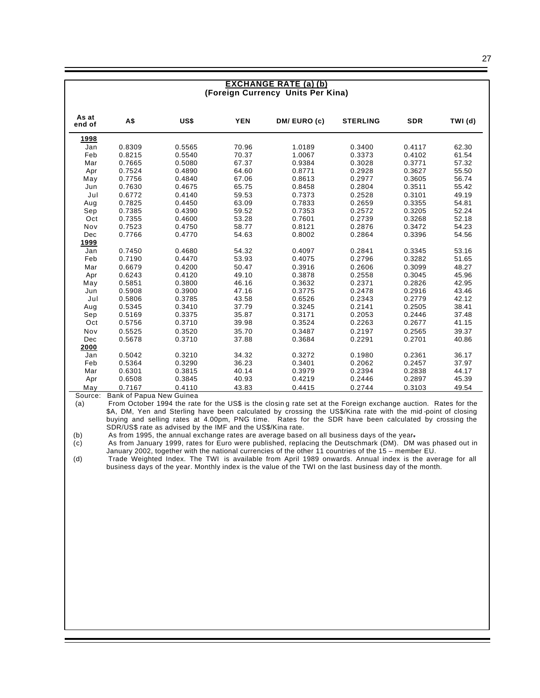#### **EXCHANGE RATE (a) (b) (Foreign Currency Units Per Kina)**

| As at<br>end of | A\$    | US\$   | <b>YEN</b> | DM/EURO(c) | <b>STERLING</b> | <b>SDR</b> | TWI (d) |
|-----------------|--------|--------|------------|------------|-----------------|------------|---------|
| 1998            |        |        |            |            |                 |            |         |
| Jan             | 0.8309 | 0.5565 | 70.96      | 1.0189     | 0.3400          | 0.4117     | 62.30   |
| Feb             | 0.8215 | 0.5540 | 70.37      | 1.0067     | 0.3373          | 0.4102     | 61.54   |
| Mar             | 0.7665 | 0.5080 | 67.37      | 0.9384     | 0.3028          | 0.3771     | 57.32   |
| Apr             | 0.7524 | 0.4890 | 64.60      | 0.8771     | 0.2928          | 0.3627     | 55.50   |
| May             | 0.7756 | 0.4840 | 67.06      | 0.8613     | 0.2977          | 0.3605     | 56.74   |
| Jun             | 0.7630 | 0.4675 | 65.75      | 0.8458     | 0.2804          | 0.3511     | 55.42   |
| Jul             | 0.6772 | 0.4140 | 59.53      | 0.7373     | 0.2528          | 0.3101     | 49.19   |
| Aug             | 0.7825 | 0.4450 | 63.09      | 0.7833     | 0.2659          | 0.3355     | 54.81   |
| Sep             | 0.7385 | 0.4390 | 59.52      | 0.7353     | 0.2572          | 0.3205     | 52.24   |
| Oct             | 0.7355 | 0.4600 | 53.28      | 0.7601     | 0.2739          | 0.3268     | 52.18   |
| Nov             | 0.7523 | 0.4750 | 58.77      | 0.8121     | 0.2876          | 0.3472     | 54.23   |
| Dec             | 0.7766 | 0.4770 | 54.63      | 0.8002     | 0.2864          | 0.3396     | 54.56   |
| 1999            |        |        |            |            |                 |            |         |
| Jan             | 0.7450 | 0.4680 | 54.32      | 0.4097     | 0.2841          | 0.3345     | 53.16   |
| Feb             | 0.7190 | 0.4470 | 53.93      | 0.4075     | 0.2796          | 0.3282     | 51.65   |
| Mar             | 0.6679 | 0.4200 | 50.47      | 0.3916     | 0.2606          | 0.3099     | 48.27   |
| Apr             | 0.6243 | 0.4120 | 49.10      | 0.3878     | 0.2558          | 0.3045     | 45.96   |
| May             | 0.5851 | 0.3800 | 46.16      | 0.3632     | 0.2371          | 0.2826     | 42.95   |
| Jun             | 0.5908 | 0.3900 | 47.16      | 0.3775     | 0.2478          | 0.2916     | 43.46   |
| Jul             | 0.5806 | 0.3785 | 43.58      | 0.6526     | 0.2343          | 0.2779     | 42.12   |
| Aug             | 0.5345 | 0.3410 | 37.79      | 0.3245     | 0.2141          | 0.2505     | 38.41   |
| Sep             | 0.5169 | 0.3375 | 35.87      | 0.3171     | 0.2053          | 0.2446     | 37.48   |
| Oct             | 0.5756 | 0.3710 | 39.98      | 0.3524     | 0.2263          | 0.2677     | 41.15   |
| Nov             | 0.5525 | 0.3520 | 35.70      | 0.3487     | 0.2197          | 0.2565     | 39.37   |
| Dec             | 0.5678 | 0.3710 | 37.88      | 0.3684     | 0.2291          | 0.2701     | 40.86   |
| 2000            |        |        |            |            |                 |            |         |
| Jan             | 0.5042 | 0.3210 | 34.32      | 0.3272     | 0.1980          | 0.2361     | 36.17   |
| Feb             | 0.5364 | 0.3290 | 36.23      | 0.3401     | 0.2062          | 0.2457     | 37.97   |
| Mar             | 0.6301 | 0.3815 | 40.14      | 0.3979     | 0.2394          | 0.2838     | 44.17   |
| Apr             | 0.6508 | 0.3845 | 40.93      | 0.4219     | 0.2446          | 0.2897     | 45.39   |
| May             | 0.7167 | 0.4110 | 43.83      | 0.4415     | 0.2744          | 0.3103     | 49.54   |

Source: Bank of Papua New Guinea

(a) From October 1994 the rate for the US\$ is the closin g rate set at the Foreign exchange auction. Rates for the \$A, DM, Yen and Sterling have been calculated by crossing the US\$/Kina rate with the mid -point of closing buying and selling rates at 4.00pm, PNG time. Rates for the SDR have been calculated by crossing the SDR/US\$ rate as advised by the IMF and the US\$/Kina rate.

(b) As from 1995, the annual exchange rates are average based on all business days of the year-<br>(c) As from January 1999, rates for Euro were published, replacing the Deutschmark (DM). DM As from January 1999, rates for Euro were published, replacing the Deutschmark (DM). DM was phased out in January 2002, together with the national currencies of the other 11 countries of the 15 – member EU.

(d) Trade Weighted Index. The TWI is available from April 1989 onwards. Annual index is the average for all business days of the year. Monthly index is the value of the TWI on the last business day of the month.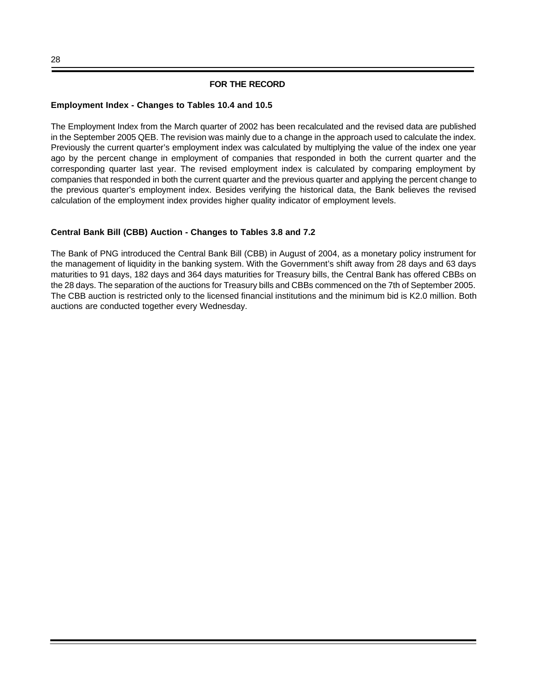### **FOR THE RECORD**

#### **Employment Index - Changes to Tables 10.4 and 10.5**

The Employment Index from the March quarter of 2002 has been recalculated and the revised data are published in the September 2005 QEB. The revision was mainly due to a change in the approach used to calculate the index. Previously the current quarter's employment index was calculated by multiplying the value of the index one year ago by the percent change in employment of companies that responded in both the current quarter and the corresponding quarter last year. The revised employment index is calculated by comparing employment by companies that responded in both the current quarter and the previous quarter and applying the percent change to the previous quarter's employment index. Besides verifying the historical data, the Bank believes the revised calculation of the employment index provides higher quality indicator of employment levels.

## **Central Bank Bill (CBB) Auction - Changes to Tables 3.8 and 7.2**

The Bank of PNG introduced the Central Bank Bill (CBB) in August of 2004, as a monetary policy instrument for the management of liquidity in the banking system. With the Government's shift away from 28 days and 63 days maturities to 91 days, 182 days and 364 days maturities for Treasury bills, the Central Bank has offered CBBs on the 28 days. The separation of the auctions for Treasury bills and CBBs commenced on the 7th of September 2005. The CBB auction is restricted only to the licensed financial institutions and the minimum bid is K2.0 million. Both auctions are conducted together every Wednesday.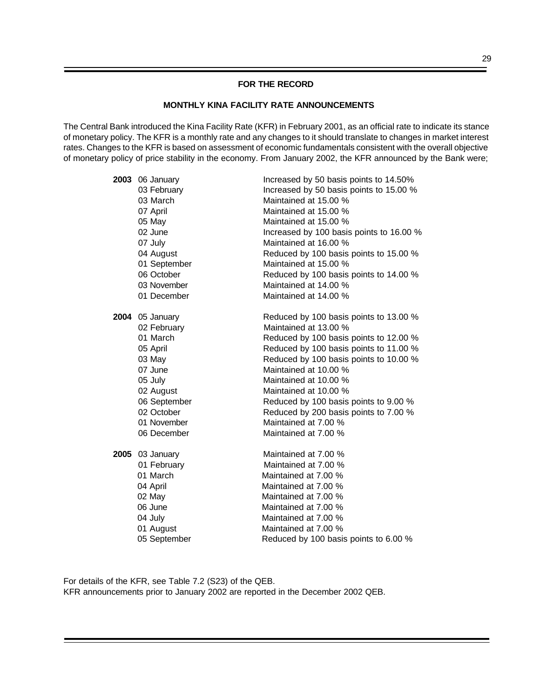#### **FOR THE RECORD**

#### **MONTHLY KINA FACILITY RATE ANNOUNCEMENTS**

The Central Bank introduced the Kina Facility Rate (KFR) in February 2001, as an official rate to indicate its stance of monetary policy. The KFR is a monthly rate and any changes to it should translate to changes in market interest rates. Changes to the KFR is based on assessment of economic fundamentals consistent with the overall objective of monetary policy of price stability in the economy. From January 2002, the KFR announced by the Bank were;

| 2003 06 January | Increased by 50 basis points to 14.50%   |
|-----------------|------------------------------------------|
| 03 February     | Increased by 50 basis points to 15.00 %  |
| 03 March        | Maintained at 15.00 %                    |
| 07 April        | Maintained at 15.00 %                    |
| 05 May          | Maintained at 15.00 %                    |
| 02 June         | Increased by 100 basis points to 16.00 % |
| 07 July         | Maintained at 16.00 %                    |
| 04 August       | Reduced by 100 basis points to 15.00 %   |
| 01 September    | Maintained at 15.00 %                    |
| 06 October      | Reduced by 100 basis points to 14.00 %   |
| 03 November     | Maintained at 14.00 %                    |
| 01 December     | Maintained at 14.00 %                    |
| 2004 05 January | Reduced by 100 basis points to 13.00 %   |
| 02 February     | Maintained at 13.00 %                    |
| 01 March        | Reduced by 100 basis points to 12.00 %   |
| 05 April        | Reduced by 100 basis points to 11.00 %   |
| 03 May          | Reduced by 100 basis points to 10.00 %   |
| 07 June         | Maintained at 10.00 %                    |
| 05 July         | Maintained at 10.00 %                    |
| 02 August       | Maintained at 10.00 %                    |
| 06 September    | Reduced by 100 basis points to 9.00 %    |
| 02 October      | Reduced by 200 basis points to 7.00 %    |
| 01 November     | Maintained at 7.00 %                     |
| 06 December     | Maintained at 7.00 %                     |
| 2005 03 January | Maintained at 7.00 %                     |
| 01 February     | Maintained at 7.00 %                     |
| 01 March        | Maintained at 7.00 %                     |
| 04 April        | Maintained at 7.00 %                     |
| 02 May          | Maintained at 7.00 %                     |
| 06 June         | Maintained at 7.00 %                     |
| 04 July         | Maintained at 7.00 %                     |
| 01 August       | Maintained at 7.00 %                     |
| 05 September    | Reduced by 100 basis points to 6.00 %    |

For details of the KFR, see Table 7.2 (S23) of the QEB. KFR announcements prior to January 2002 are reported in the December 2002 QEB.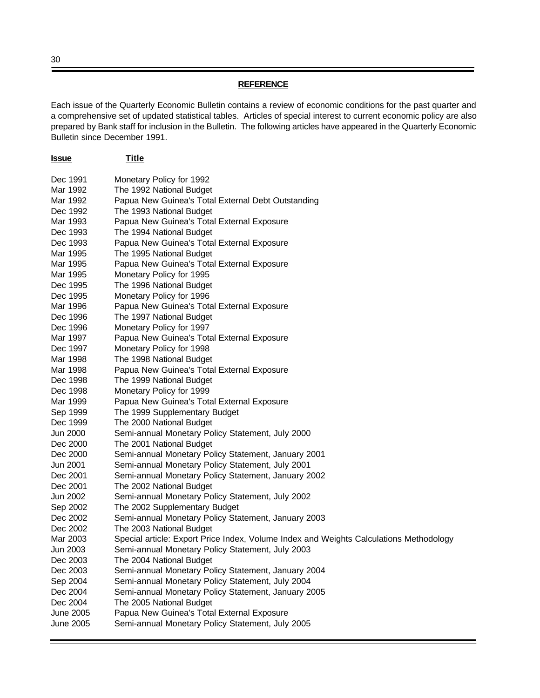#### **REFERENCE**

Each issue of the Quarterly Economic Bulletin contains a review of economic conditions for the past quarter and a comprehensive set of updated statistical tables. Articles of special interest to current economic policy are also prepared by Bank staff for inclusion in the Bulletin. The following articles have appeared in the Quarterly Economic Bulletin since December 1991.

| <u>Issue</u>     | <b>Title</b>                                                                           |
|------------------|----------------------------------------------------------------------------------------|
| Dec 1991         | Monetary Policy for 1992                                                               |
| Mar 1992         | The 1992 National Budget                                                               |
| Mar 1992         | Papua New Guinea's Total External Debt Outstanding                                     |
| Dec 1992         | The 1993 National Budget                                                               |
| Mar 1993         | Papua New Guinea's Total External Exposure                                             |
| Dec 1993         | The 1994 National Budget                                                               |
| Dec 1993         | Papua New Guinea's Total External Exposure                                             |
| Mar 1995         | The 1995 National Budget                                                               |
| Mar 1995         | Papua New Guinea's Total External Exposure                                             |
| Mar 1995         | Monetary Policy for 1995                                                               |
| Dec 1995         | The 1996 National Budget                                                               |
| Dec 1995         | Monetary Policy for 1996                                                               |
| Mar 1996         | Papua New Guinea's Total External Exposure                                             |
| Dec 1996         | The 1997 National Budget                                                               |
| Dec 1996         | Monetary Policy for 1997                                                               |
| Mar 1997         | Papua New Guinea's Total External Exposure                                             |
| Dec 1997         | Monetary Policy for 1998                                                               |
| Mar 1998         | The 1998 National Budget                                                               |
| Mar 1998         | Papua New Guinea's Total External Exposure                                             |
| Dec 1998         | The 1999 National Budget                                                               |
| Dec 1998         | Monetary Policy for 1999                                                               |
| Mar 1999         | Papua New Guinea's Total External Exposure                                             |
| Sep 1999         | The 1999 Supplementary Budget                                                          |
| Dec 1999         | The 2000 National Budget                                                               |
| Jun 2000         | Semi-annual Monetary Policy Statement, July 2000                                       |
| Dec 2000         | The 2001 National Budget                                                               |
| Dec 2000         | Semi-annual Monetary Policy Statement, January 2001                                    |
| Jun 2001         | Semi-annual Monetary Policy Statement, July 2001                                       |
| Dec 2001         | Semi-annual Monetary Policy Statement, January 2002                                    |
| Dec 2001         | The 2002 National Budget                                                               |
| Jun 2002         | Semi-annual Monetary Policy Statement, July 2002                                       |
| Sep 2002         | The 2002 Supplementary Budget                                                          |
| Dec 2002         | Semi-annual Monetary Policy Statement, January 2003                                    |
| Dec 2002         | The 2003 National Budget                                                               |
| Mar 2003         | Special article: Export Price Index, Volume Index and Weights Calculations Methodology |
| Jun 2003         | Semi-annual Monetary Policy Statement, July 2003                                       |
| Dec 2003         | The 2004 National Budget                                                               |
| Dec 2003         | Semi-annual Monetary Policy Statement, January 2004                                    |
| Sep 2004         | Semi-annual Monetary Policy Statement, July 2004                                       |
| Dec 2004         | Semi-annual Monetary Policy Statement, January 2005                                    |
| Dec 2004         | The 2005 National Budget                                                               |
| <b>June 2005</b> | Papua New Guinea's Total External Exposure                                             |
| <b>June 2005</b> | Semi-annual Monetary Policy Statement, July 2005                                       |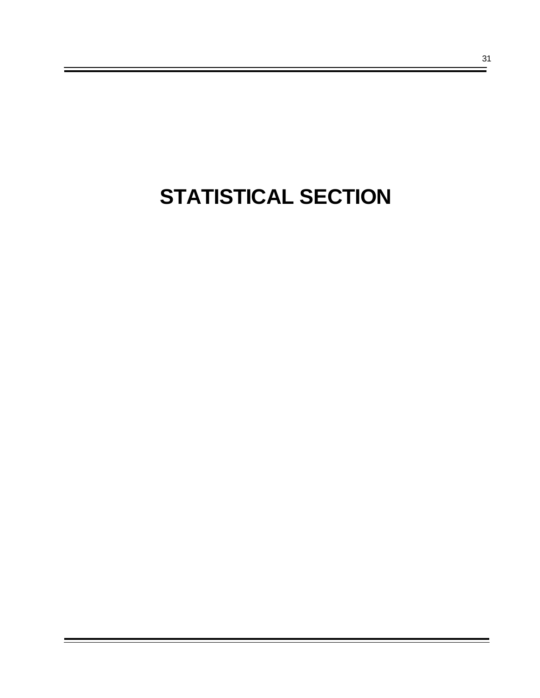# **STATISTICAL SECTION**